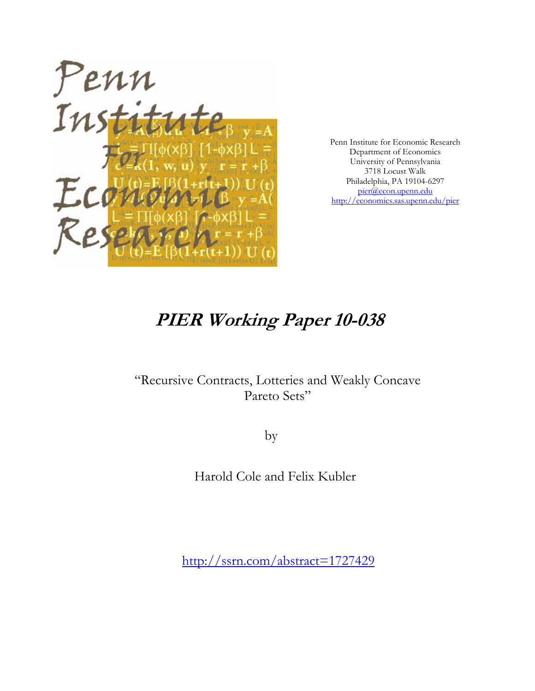

Penn Institute for Economic Research Department of Economics University of Pennsylvania 3718 Locust Walk Philadelphia, PA 19104-6297 pier@econ.upenn.edu http://economics.sas.upenn.edu/pier

# **PIER Working Paper 10-038**

### "Recursive Contracts, Lotteries and Weakly Concave Pareto Sets"

by

Harold Cole and Felix Kubler

http://ssrn.com/abstract=1727429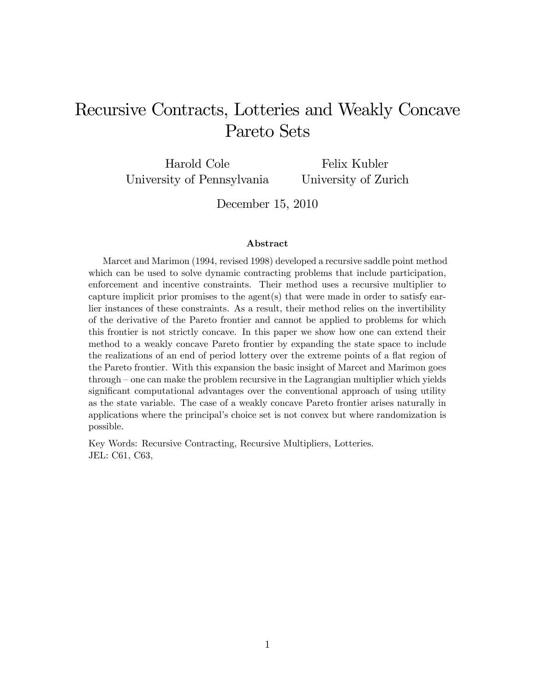## Recursive Contracts, Lotteries and Weakly Concave Pareto Sets

Harold Cole University of Pennsylvania Felix Kubler

University of Zurich

December 15, 2010

#### Abstract

Marcet and Marimon (1994, revised 1998) developed a recursive saddle point method which can be used to solve dynamic contracting problems that include participation, enforcement and incentive constraints. Their method uses a recursive multiplier to capture implicit prior promises to the agent(s) that were made in order to satisfy earlier instances of these constraints. As a result, their method relies on the invertibility of the derivative of the Pareto frontier and cannot be applied to problems for which this frontier is not strictly concave. In this paper we show how one can extend their method to a weakly concave Pareto frontier by expanding the state space to include the realizations of an end of period lottery over the extreme points of a flat region of the Pareto frontier. With this expansion the basic insight of Marcet and Marimon goes through – one can make the problem recursive in the Lagrangian multiplier which yields significant computational advantages over the conventional approach of using utility as the state variable. The case of a weakly concave Pareto frontier arises naturally in applications where the principalís choice set is not convex but where randomization is possible.

Key Words: Recursive Contracting, Recursive Multipliers, Lotteries. JEL: C61, C63,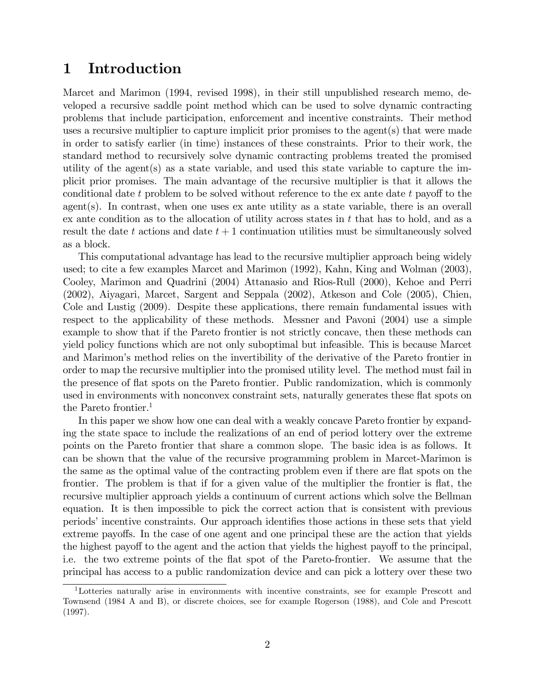### 1 Introduction

Marcet and Marimon (1994, revised 1998), in their still unpublished research memo, developed a recursive saddle point method which can be used to solve dynamic contracting problems that include participation, enforcement and incentive constraints. Their method uses a recursive multiplier to capture implicit prior promises to the agent(s) that were made in order to satisfy earlier (in time) instances of these constraints. Prior to their work, the standard method to recursively solve dynamic contracting problems treated the promised utility of the agent(s) as a state variable, and used this state variable to capture the implicit prior promises. The main advantage of the recursive multiplier is that it allows the conditional date t problem to be solved without reference to the ex ante date t payoff to the agent(s). In contrast, when one uses ex ante utility as a state variable, there is an overall ex ante condition as to the allocation of utility across states in  $t$  that has to hold, and as a result the date t actions and date  $t + 1$  continuation utilities must be simultaneously solved as a block.

This computational advantage has lead to the recursive multiplier approach being widely used; to cite a few examples Marcet and Marimon (1992), Kahn, King and Wolman (2003), Cooley, Marimon and Quadrini (2004) Attanasio and Rios-Rull (2000), Kehoe and Perri (2002), Aiyagari, Marcet, Sargent and Seppala (2002), Atkeson and Cole (2005), Chien, Cole and Lustig (2009). Despite these applications, there remain fundamental issues with respect to the applicability of these methods. Messner and Pavoni (2004) use a simple example to show that if the Pareto frontier is not strictly concave, then these methods can yield policy functions which are not only suboptimal but infeasible. This is because Marcet and Marimon's method relies on the invertibility of the derivative of the Pareto frontier in order to map the recursive multiplier into the promised utility level. The method must fail in the presence of áat spots on the Pareto frontier. Public randomization, which is commonly used in environments with nonconvex constraint sets, naturally generates these flat spots on the Pareto frontier.<sup>1</sup>

In this paper we show how one can deal with a weakly concave Pareto frontier by expanding the state space to include the realizations of an end of period lottery over the extreme points on the Pareto frontier that share a common slope. The basic idea is as follows. It can be shown that the value of the recursive programming problem in Marcet-Marimon is the same as the optimal value of the contracting problem even if there are flat spots on the frontier. The problem is that if for a given value of the multiplier the frontier is flat, the recursive multiplier approach yields a continuum of current actions which solve the Bellman equation. It is then impossible to pick the correct action that is consistent with previous periods' incentive constraints. Our approach identifies those actions in these sets that yield extreme payoffs. In the case of one agent and one principal these are the action that yields the highest payoff to the agent and the action that yields the highest payoff to the principal, i.e. the two extreme points of the flat spot of the Pareto-frontier. We assume that the principal has access to a public randomization device and can pick a lottery over these two

<sup>1</sup>Lotteries naturally arise in environments with incentive constraints, see for example Prescott and Townsend (1984 A and B), or discrete choices, see for example Rogerson (1988), and Cole and Prescott (1997).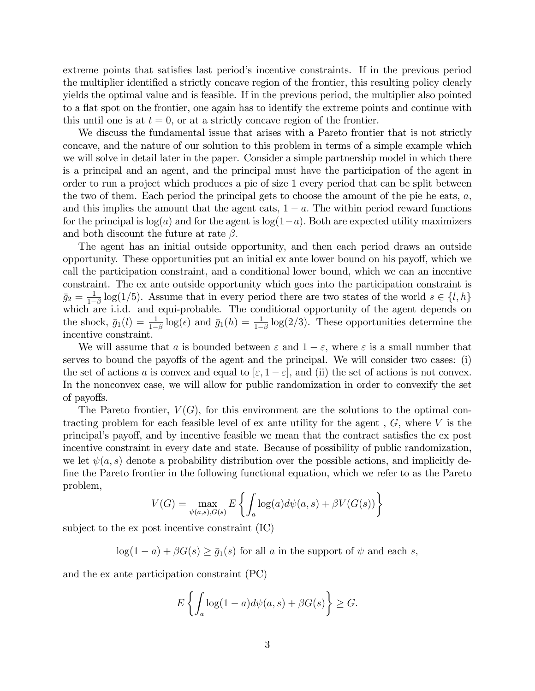extreme points that satisfies last period's incentive constraints. If in the previous period the multiplier identified a strictly concave region of the frontier, this resulting policy clearly yields the optimal value and is feasible. If in the previous period, the multiplier also pointed to a flat spot on the frontier, one again has to identify the extreme points and continue with this until one is at  $t = 0$ , or at a strictly concave region of the frontier.

We discuss the fundamental issue that arises with a Pareto frontier that is not strictly concave, and the nature of our solution to this problem in terms of a simple example which we will solve in detail later in the paper. Consider a simple partnership model in which there is a principal and an agent, and the principal must have the participation of the agent in order to run a project which produces a pie of size 1 every period that can be split between the two of them. Each period the principal gets to choose the amount of the pie he eats,  $a$ , and this implies the amount that the agent eats,  $1 - a$ . The within period reward functions for the principal is  $log(a)$  and for the agent is  $log(1-a)$ . Both are expected utility maximizers and both discount the future at rate  $\beta$ .

The agent has an initial outside opportunity, and then each period draws an outside opportunity. These opportunities put an initial ex ante lower bound on his payo§, which we call the participation constraint, and a conditional lower bound, which we can an incentive constraint. The ex ante outside opportunity which goes into the participation constraint is  $\bar{g}_2 = \frac{1}{1-}$  $\frac{1}{1-\beta} \log(1/5)$ . Assume that in every period there are two states of the world  $s \in \{l, h\}$ which are i.i.d. and equi-probable. The conditional opportunity of the agent depends on the shock,  $\bar{g}_1(l) = \frac{1}{1-\beta} \log(\epsilon)$  and  $\bar{g}_1(h) = \frac{1}{1-\beta} \log(2/3)$ . These opportunities determine the incentive constraint.

We will assume that a is bounded between  $\varepsilon$  and  $1 - \varepsilon$ , where  $\varepsilon$  is a small number that serves to bound the payoffs of the agent and the principal. We will consider two cases: (i) the set of actions a is convex and equal to  $[\varepsilon, 1 - \varepsilon]$ , and (ii) the set of actions is not convex. In the nonconvex case, we will allow for public randomization in order to convexify the set of payoffs.

The Pareto frontier,  $V(G)$ , for this environment are the solutions to the optimal contracting problem for each feasible level of ex ante utility for the agent,  $G$ , where  $V$  is the principal's payoff, and by incentive feasible we mean that the contract satisfies the ex post incentive constraint in every date and state. Because of possibility of public randomization, we let  $\psi(a, s)$  denote a probability distribution over the possible actions, and implicitly de-Öne the Pareto frontier in the following functional equation, which we refer to as the Pareto problem,

$$
V(G) = \max_{\psi(a,s),G(s)} E\left\{ \int_a \log(a) d\psi(a,s) + \beta V(G(s)) \right\}
$$

subject to the ex post incentive constraint (IC)

 $log(1 - a) + \beta G(s) \geq \overline{g}_1(s)$  for all a in the support of  $\psi$  and each s,

and the ex ante participation constraint (PC)

$$
E\left\{\int_a \log(1-a)d\psi(a,s) + \beta G(s)\right\} \ge G.
$$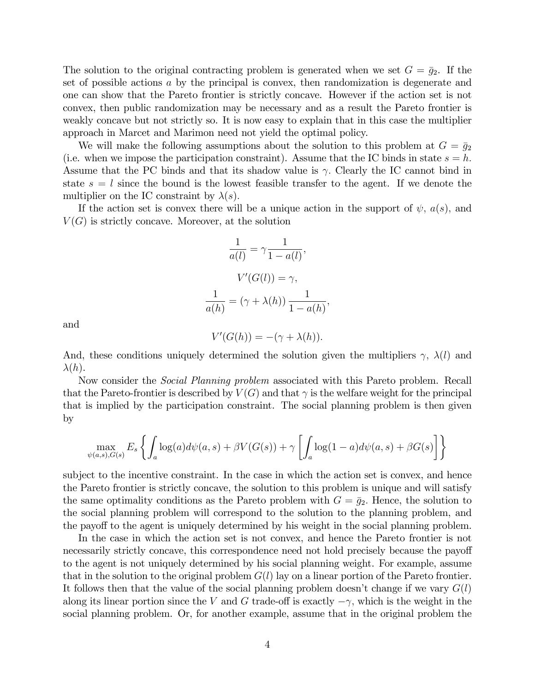The solution to the original contracting problem is generated when we set  $G = \bar{g}_2$ . If the set of possible actions a by the principal is convex, then randomization is degenerate and one can show that the Pareto frontier is strictly concave. However if the action set is not convex, then public randomization may be necessary and as a result the Pareto frontier is weakly concave but not strictly so. It is now easy to explain that in this case the multiplier approach in Marcet and Marimon need not yield the optimal policy.

We will make the following assumptions about the solution to this problem at  $G = \bar{g}_2$ (i.e. when we impose the participation constraint). Assume that the IC binds in state  $s = h$ . Assume that the PC binds and that its shadow value is  $\gamma$ . Clearly the IC cannot bind in state  $s = l$  since the bound is the lowest feasible transfer to the agent. If we denote the multiplier on the IC constraint by  $\lambda(s)$ .

If the action set is convex there will be a unique action in the support of  $\psi$ ,  $a(s)$ , and  $V(G)$  is strictly concave. Moreover, at the solution

$$
\frac{1}{a(l)} = \gamma \frac{1}{1 - a(l)},
$$

$$
V'(G(l)) = \gamma,
$$

$$
\frac{1}{a(h)} = (\gamma + \lambda(h)) \frac{1}{1 - a(h)},
$$

and

$$
V'(G(h)) = -(\gamma + \lambda(h)).
$$

And, these conditions uniquely determined the solution given the multipliers  $\gamma$ ,  $\lambda(l)$  and  $\lambda(h)$ .

Now consider the Social Planning problem associated with this Pareto problem. Recall that the Pareto-frontier is described by  $V(G)$  and that  $\gamma$  is the welfare weight for the principal that is implied by the participation constraint. The social planning problem is then given by

$$
\max_{\psi(a,s),G(s)} E_s \left\{ \int_a \log(a) d\psi(a,s) + \beta V(G(s)) + \gamma \left[ \int_a \log(1-a) d\psi(a,s) + \beta G(s) \right] \right\}
$$

subject to the incentive constraint. In the case in which the action set is convex, and hence the Pareto frontier is strictly concave, the solution to this problem is unique and will satisfy the same optimality conditions as the Pareto problem with  $G = \bar{q}_2$ . Hence, the solution to the social planning problem will correspond to the solution to the planning problem, and the payoff to the agent is uniquely determined by his weight in the social planning problem.

In the case in which the action set is not convex, and hence the Pareto frontier is not necessarily strictly concave, this correspondence need not hold precisely because the payoff to the agent is not uniquely determined by his social planning weight. For example, assume that in the solution to the original problem  $G(l)$  lay on a linear portion of the Pareto frontier. It follows then that the value of the social planning problem doesn't change if we vary  $G(l)$ along its linear portion since the V and G trade-off is exactly  $-\gamma$ , which is the weight in the social planning problem. Or, for another example, assume that in the original problem the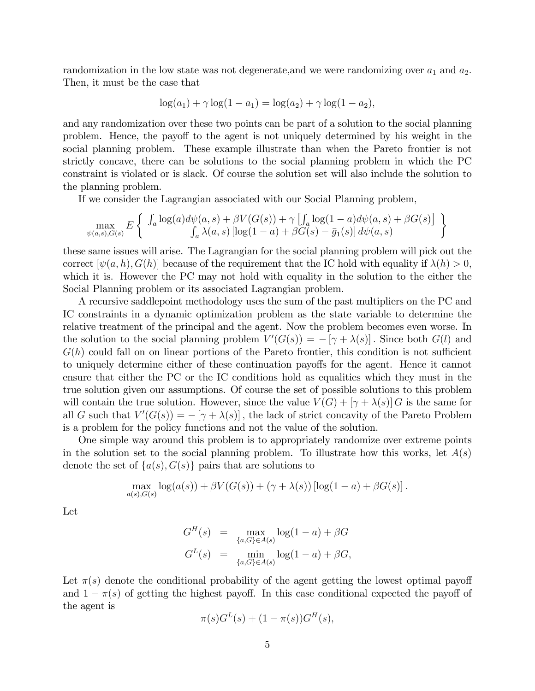randomization in the low state was not degenerate, and we were randomizing over  $a_1$  and  $a_2$ . Then, it must be the case that

$$
\log(a_1) + \gamma \log(1 - a_1) = \log(a_2) + \gamma \log(1 - a_2),
$$

and any randomization over these two points can be part of a solution to the social planning problem. Hence, the payoff to the agent is not uniquely determined by his weight in the social planning problem. These example illustrate than when the Pareto frontier is not strictly concave, there can be solutions to the social planning problem in which the PC constraint is violated or is slack. Of course the solution set will also include the solution to the planning problem.

If we consider the Lagrangian associated with our Social Planning problem,

$$
\max_{\psi(a,s),G(s)} E\left\{ \begin{array}{c} \int_a \log(a)d\psi(a,s) + \beta V(G(s)) + \gamma \left[ \int_a \log(1-a)d\psi(a,s) + \beta G(s) \right] \\ \int_a \lambda(a,s) \left[ \log(1-a) + \beta G(s) - \bar{g}_1(s) \right] d\psi(a,s) \end{array} \right\}
$$

these same issues will arise. The Lagrangian for the social planning problem will pick out the correct  $[\psi(a, h), G(h)]$  because of the requirement that the IC hold with equality if  $\lambda(h) > 0$ , which it is. However the PC may not hold with equality in the solution to the either the Social Planning problem or its associated Lagrangian problem.

A recursive saddlepoint methodology uses the sum of the past multipliers on the PC and IC constraints in a dynamic optimization problem as the state variable to determine the relative treatment of the principal and the agent. Now the problem becomes even worse. In the solution to the social planning problem  $V'(G(s)) = -[\gamma + \lambda(s)]$ . Since both  $G(l)$  and  $G(h)$  could fall on on linear portions of the Pareto frontier, this condition is not sufficient to uniquely determine either of these continuation payoffs for the agent. Hence it cannot ensure that either the PC or the IC conditions hold as equalities which they must in the true solution given our assumptions. Of course the set of possible solutions to this problem will contain the true solution. However, since the value  $V(G) + [\gamma + \lambda(s)] G$  is the same for all G such that  $V'(G(s)) = -[\gamma + \lambda(s)]$ , the lack of strict concavity of the Pareto Problem is a problem for the policy functions and not the value of the solution.

One simple way around this problem is to appropriately randomize over extreme points in the solution set to the social planning problem. To illustrate how this works, let  $A(s)$ denote the set of  $\{a(s), G(s)\}\$  pairs that are solutions to

$$
\max_{a(s),G(s)} \log(a(s)) + \beta V(G(s)) + (\gamma + \lambda(s)) [\log(1 - a) + \beta G(s)].
$$

Let

$$
G^{H}(s) = \max_{\{a,G\} \in A(s)} \log(1-a) + \beta G
$$
  

$$
G^{L}(s) = \min_{\{a,G\} \in A(s)} \log(1-a) + \beta G,
$$

Let  $\pi(s)$  denote the conditional probability of the agent getting the lowest optimal payoff and  $1 - \pi(s)$  of getting the highest payoff. In this case conditional expected the payoff of the agent is

$$
\pi(s)G^{L}(s) + (1 - \pi(s))G^{H}(s),
$$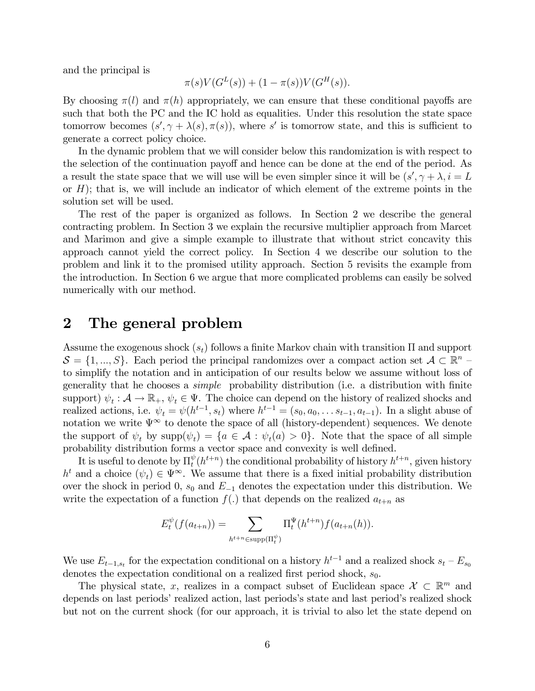and the principal is

$$
\pi(s)V(G^{L}(s)) + (1 - \pi(s))V(G^{H}(s)).
$$

By choosing  $\pi(l)$  and  $\pi(h)$  appropriately, we can ensure that these conditional payoffs are such that both the PC and the IC hold as equalities. Under this resolution the state space tomorrow becomes  $(s', \gamma + \lambda(s), \pi(s))$ , where s' is tomorrow state, and this is sufficient to generate a correct policy choice.

In the dynamic problem that we will consider below this randomization is with respect to the selection of the continuation payoff and hence can be done at the end of the period. As a result the state space that we will use will be even simpler since it will be  $(s', \gamma + \lambda, i = L)$ or  $H$ ; that is, we will include an indicator of which element of the extreme points in the solution set will be used.

The rest of the paper is organized as follows. In Section 2 we describe the general contracting problem. In Section 3 we explain the recursive multiplier approach from Marcet and Marimon and give a simple example to illustrate that without strict concavity this approach cannot yield the correct policy. In Section 4 we describe our solution to the problem and link it to the promised utility approach. Section 5 revisits the example from the introduction. In Section 6 we argue that more complicated problems can easily be solved numerically with our method.

### 2 The general problem

Assume the exogenous shock  $(s_t)$  follows a finite Markov chain with transition  $\Pi$  and support  $S = \{1, ..., S\}$ . Each period the principal randomizes over a compact action set  $\mathcal{A} \subset \mathbb{R}^n$ to simplify the notation and in anticipation of our results below we assume without loss of generality that he chooses a *simple* probability distribution (i.e. a distribution with finite support)  $\psi_t : \mathcal{A} \to \mathbb{R}_+$ ,  $\psi_t \in \Psi$ . The choice can depend on the history of realized shocks and realized actions, i.e.  $\psi_t = \psi(h^{t-1}, s_t)$  where  $h^{t-1} = (s_0, a_0, \dots s_{t-1}, a_{t-1})$ . In a slight abuse of notation we write  $\Psi^{\infty}$  to denote the space of all (history-dependent) sequences. We denote the support of  $\psi_t$  by  $\text{supp}(\psi_t) = \{a \in \mathcal{A} : \psi_t(a) > 0\}$ . Note that the space of all simple probability distribution forms a vector space and convexity is well defined.

It is useful to denote by  $\Pi_t^{\psi}$  $t<sup>\psi</sup>(h<sup>t+n</sup>)$  the conditional probability of history  $h<sup>t+n</sup>$ , given history  $h^t$  and a choice  $(\psi_t) \in \Psi^{\infty}$ . We assume that there is a fixed initial probability distribution over the shock in period 0,  $s_0$  and  $E_{-1}$  denotes the expectation under this distribution. We write the expectation of a function  $f(.)$  that depends on the realized  $a_{t+n}$  as

$$
E_t^{\psi}(f(a_{t+n})) = \sum_{h^{t+n} \in \text{supp}(\Pi_t^{\psi})} \Pi_t^{\Psi}(h^{t+n}) f(a_{t+n}(h)).
$$

We use  $E_{t-1,s_t}$  for the expectation conditional on a history  $h^{t-1}$  and a realized shock  $s_t - E_{s_0}$ denotes the expectation conditional on a realized first period shock,  $s_0$ .

The physical state, x, realizes in a compact subset of Euclidean space  $\mathcal{X} \subset \mathbb{R}^m$  and depends on last periods' realized action, last periods's state and last period's realized shock but not on the current shock (for our approach, it is trivial to also let the state depend on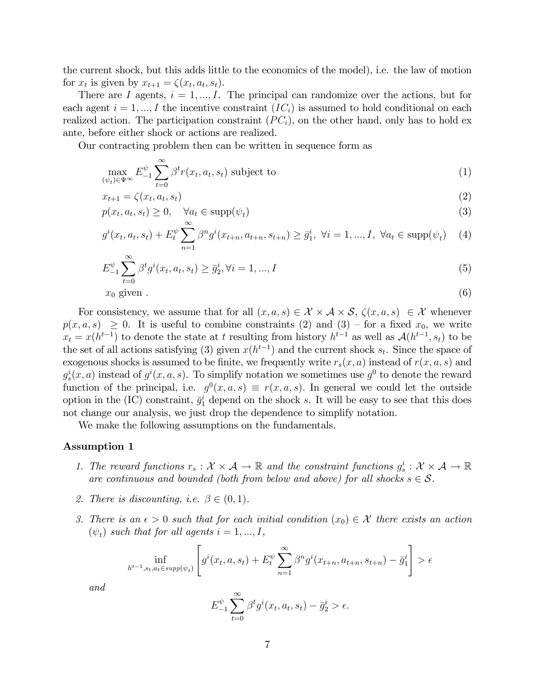the current shock, but this adds little to the economics of the model), i.e. the law of motion for  $x_t$  is given by  $x_{t+1} = \zeta(x_t, a_t, s_t)$ .

There are I agents,  $i = 1, ..., I$ . The principal can randomize over the actions, but for each agent  $i = 1, ..., I$  the incentive constraint  $(IC_i)$  is assumed to hold conditional on each realized action. The participation constraint  $(PC<sub>i</sub>)$ , on the other hand, only has to hold ex ante, before either shock or actions are realized.

Our contracting problem then can be written in sequence form as

$$
\max_{(\psi_t) \in \Psi^{\infty}} E_{-1}^{\psi} \sum_{t=0}^{\infty} \beta^t r(x_t, a_t, s_t) \text{ subject to}
$$
 (1)

$$
x_{t+1} = \zeta(x_t, a_t, s_t) \tag{2}
$$

$$
p(x_t, a_t, s_t) \ge 0, \quad \forall a_t \in \text{supp}(\psi_t)
$$
\n
$$
(3)
$$

$$
g^{i}(x_{t}, a_{t}, s_{t}) + E_{t}^{\psi} \sum_{n=1}^{\infty} \beta^{n} g^{i}(x_{t+n}, a_{t+n}, s_{t+n}) \geq \bar{g}_{1}^{i}, \ \forall i = 1, ..., I, \ \forall a_{t} \in \text{supp}(\psi_{t}) \tag{4}
$$

$$
E_{-1}^{\psi} \sum_{t=0}^{\infty} \beta^t g^i(x_t, a_t, s_t) \ge \bar{g}_2^i, \forall i = 1, ..., I
$$
 (5)

$$
x_0 \text{ given } . \tag{6}
$$

$$
(6)
$$

For consistency, we assume that for all  $(x, a, s) \in \mathcal{X} \times \mathcal{A} \times \mathcal{S}$ ,  $\zeta(x, a, s) \in \mathcal{X}$  whenever  $p(x, a, s) \geq 0$ . It is useful to combine constraints (2) and (3) – for a fixed  $x_0$ , we write  $x_t = x(h^{t-1})$  to denote the state at t resulting from history  $h^{t-1}$  as well as  $\mathcal{A}(h^{t-1}, s_t)$  to be the set of all actions satisfying (3) given  $x(h^{t-1})$  and the current shock  $s_t$ . Since the space of exogenous shocks is assumed to be finite, we frequently write  $r_s(x, a)$  instead of  $r(x, a, s)$  and  $g_s^i(x, a)$  instead of  $g^i(x, a, s)$ . To simplify notation we sometimes use  $g^0$  to denote the reward function of the principal, i.e.  $g^0(x, a, s) \equiv r(x, a, s)$ . In general we could let the outside option in the (IC) constraint,  $\bar{g}_1^i$  depend on the shock s. It will be easy to see that this does not change our analysis, we just drop the dependence to simplify notation.

We make the following assumptions on the fundamentals.

#### Assumption 1

- 1. The reward functions  $r_s : \mathcal{X} \times \mathcal{A} \to \mathbb{R}$  and the constraint functions  $g_s^i : \mathcal{X} \times \mathcal{A} \to \mathbb{R}$ are continuous and bounded (both from below and above) for all shocks  $s \in \mathcal{S}$ .
- 2. There is discounting, i.e.  $\beta \in (0,1)$ .
- 3. There is an  $\epsilon > 0$  such that for each initial condition  $(x_0) \in \mathcal{X}$  there exists an action  $(\psi_t)$  such that for all agents  $i = 1, ..., I$ ,

$$
\inf_{h^{t-1}, s_t, a_t \in \text{supp}(\psi_t)} \left[ g^i(x_t, a, s_t) + E_t^{\psi} \sum_{n=1}^{\infty} \beta^n g^i(x_{t+n}, a_{t+n}, s_{t+n}) - \bar{g}_1^i \right] > \epsilon
$$

and

$$
E_{-1}^{\psi} \sum_{t=0}^{\infty} \beta^t g^i(x_t, a_t, s_t) - \bar{g}_2^i > \epsilon.
$$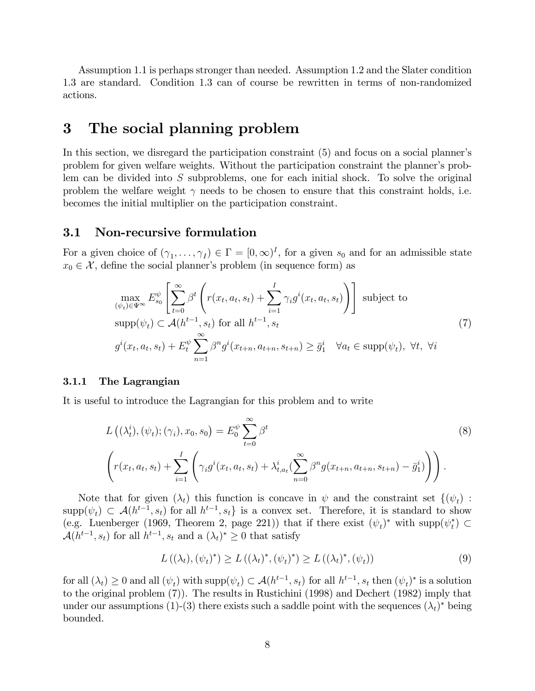Assumption 1.1 is perhaps stronger than needed. Assumption 1.2 and the Slater condition 1.3 are standard. Condition 1.3 can of course be rewritten in terms of non-randomized actions.

### 3 The social planning problem

In this section, we disregard the participation constraint (5) and focus on a social planner's problem for given welfare weights. Without the participation constraint the plannerís problem can be divided into  $S$  subproblems, one for each initial shock. To solve the original problem the welfare weight  $\gamma$  needs to be chosen to ensure that this constraint holds, i.e. becomes the initial multiplier on the participation constraint.

#### 3.1 Non-recursive formulation

For a given choice of  $(\gamma_1, \ldots, \gamma_I) \in \Gamma = [0, \infty)^I$ , for a given  $s_0$  and for an admissible state  $x_0 \in \mathcal{X}$ , define the social planner's problem (in sequence form) as

$$
\max_{(\psi_t) \in \Psi^{\infty}} E_{s_0}^{\psi} \left[ \sum_{t=0}^{\infty} \beta^t \left( r(x_t, a_t, s_t) + \sum_{i=1}^I \gamma_i g^i(x_t, a_t, s_t) \right) \right] \text{ subject to}
$$
\n
$$
\text{supp}(\psi_t) \subset \mathcal{A}(h^{t-1}, s_t) \text{ for all } h^{t-1}, s_t
$$
\n
$$
g^i(x_t, a_t, s_t) + E_t^{\psi} \sum_{n=1}^{\infty} \beta^n g^i(x_{t+n}, a_{t+n}, s_{t+n}) \ge \bar{g}_1^i \quad \forall a_t \in \text{supp}(\psi_t), \forall t, \forall i
$$
\n
$$
(7)
$$

#### 3.1.1 The Lagrangian

It is useful to introduce the Lagrangian for this problem and to write

$$
L\left((\lambda_t^i), (\psi_t); (\gamma_i), x_0, s_0\right) = E_0^{\psi} \sum_{t=0}^{\infty} \beta^t
$$
\n
$$
\left(r(x_t, a_t, s_t) + \sum_{i=1}^I \left(\gamma_i g^i(x_t, a_t, s_t) + \lambda_{t, a_t}^i \left(\sum_{n=0}^{\infty} \beta^n g(x_{t+n}, a_{t+n}, s_{t+n}) - \bar{g}_1^i\right)\right)\right).
$$
\n(8)

Note that for given  $(\lambda_t)$  this function is concave in  $\psi$  and the constraint set  $\{(\psi_t)$ :  $\text{supp}(\psi_t) \subset \mathcal{A}(h^{t-1}, s_t)$  for all  $h^{t-1}, s_t$  is a convex set. Therefore, it is standard to show (e.g. Luenberger (1969, Theorem 2, page 221)) that if there exist  $(\psi_t)^*$  with supp $(\psi_t^*) \subset$  $\mathcal{A}(h^{t-1}, s_t)$  for all  $h^{t-1}, s_t$  and a  $(\lambda_t)^* \geq 0$  that satisfy

$$
L((\lambda_t), (\psi_t)^*) \ge L((\lambda_t)^*, (\psi_t)^*) \ge L((\lambda_t)^*, (\psi_t))
$$
\n(9)

for all  $(\lambda_t) \geq 0$  and all  $(\psi_t)$  with  $\text{supp}(\psi_t) \subset \mathcal{A}(h^{t-1}, s_t)$  for all  $h^{t-1}, s_t$  then  $(\psi_t)^*$  is a solution to the original problem (7)). The results in Rustichini (1998) and Dechert (1982) imply that under our assumptions (1)-(3) there exists such a saddle point with the sequences  $(\lambda_t)^*$  being bounded.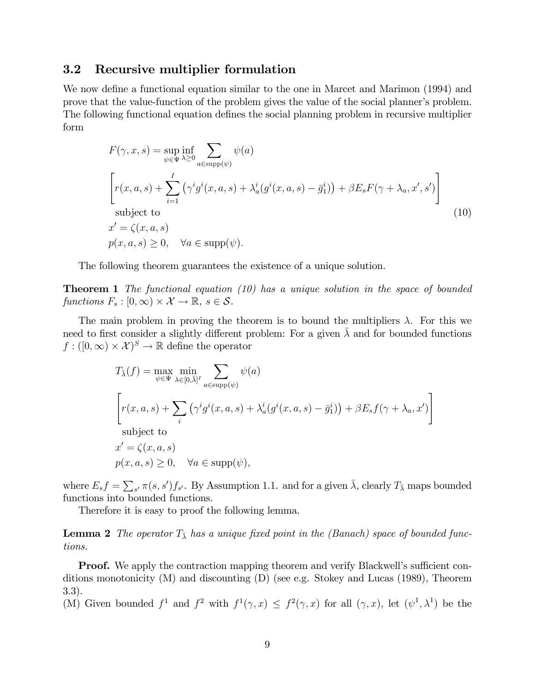### 3.2 Recursive multiplier formulation

We now define a functional equation similar to the one in Marcet and Marimon (1994) and prove that the value-function of the problem gives the value of the social planner's problem. The following functional equation defines the social planning problem in recursive multiplier form

$$
F(\gamma, x, s) = \sup_{\psi \in \Psi} \inf_{\lambda \ge 0} \sum_{a \in \text{supp}(\psi)} \psi(a)
$$
  
\n
$$
\left[ r(x, a, s) + \sum_{i=1}^{I} (\gamma^i g^i(x, a, s) + \lambda_a^i (g^i(x, a, s) - \bar{g}_1^i)) + \beta E_s F(\gamma + \lambda_a, x', s') \right]
$$
  
\nsubject to  
\n
$$
x' = \zeta(x, a, s)
$$
  
\n
$$
p(x, a, s) \ge 0, \quad \forall a \in \text{supp}(\psi).
$$
\n(10)

The following theorem guarantees the existence of a unique solution.

**Theorem 1** The functional equation  $(10)$  has a unique solution in the space of bounded functions  $F_s : [0, \infty) \times \mathcal{X} \to \mathbb{R}, s \in \mathcal{S}$ .

The main problem in proving the theorem is to bound the multipliers  $\lambda$ . For this we need to first consider a slightly different problem: For a given  $\lambda$  and for bounded functions  $f: ([0,\infty) \times \mathcal{X})^S \to \mathbb{R}$  define the operator

$$
T_{\bar{\lambda}}(f) = \max_{\psi \in \Psi} \min_{\lambda \in [0,\bar{\lambda}]^I} \sum_{a \in \text{supp}(\psi)} \psi(a)
$$
  

$$
\left[ r(x, a, s) + \sum_{i} (\gamma^i g^i(x, a, s) + \lambda_a^i (g^i(x, a, s) - \bar{g}_1^i)) + \beta E_s f(\gamma + \lambda_a, x') \right]
$$
  
subject to  

$$
x' = \zeta(x, a, s)
$$
  

$$
p(x, a, s) \ge 0, \quad \forall a \in \text{supp}(\psi),
$$

where  $E_s f = \sum_{s'} \pi(s, s') f_{s'}$ . By Assumption 1.1. and for a given  $\bar{\lambda}$ , clearly  $T_{\bar{\lambda}}$  maps bounded functions into bounded functions.

Therefore it is easy to proof the following lemma.

**Lemma 2** The operator  $T_{\overline{\lambda}}$  has a unique fixed point in the (Banach) space of bounded functions.

**Proof.** We apply the contraction mapping theorem and verify Blackwell's sufficient conditions monotonicity (M) and discounting (D) (see e.g. Stokey and Lucas (1989), Theorem 3.3).

(M) Given bounded  $f^1$  and  $f^2$  with  $f^1(\gamma, x) \leq f^2(\gamma, x)$  for all  $(\gamma, x)$ , let  $(\psi^1, \lambda^1)$  be the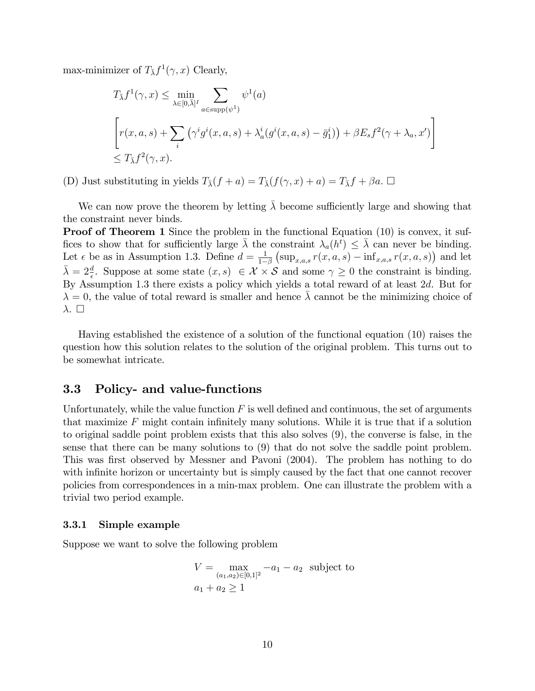max-minimizer of  $T_{\overline{\lambda}} f^1(\gamma, x)$  Clearly,

$$
T_{\bar{\lambda}} f^1(\gamma, x) \le \min_{\lambda \in [0, \bar{\lambda}]^I} \sum_{a \in \text{supp}(\psi^1)} \psi^1(a)
$$
  

$$
\left[ r(x, a, s) + \sum_i (\gamma^i g^i(x, a, s) + \lambda_a^i (g^i(x, a, s) - \bar{g}_1^i)) + \beta E_s f^2(\gamma + \lambda_a, x') \right]
$$
  

$$
\le T_{\bar{\lambda}} f^2(\gamma, x).
$$

(D) Just substituting in yields  $T_{\bar{\lambda}}(f + a) = T_{\bar{\lambda}}(f(\gamma, x) + a) = T_{\bar{\lambda}}f + \beta a. \Box$ 

We can now prove the theorem by letting  $\bar{\lambda}$  become sufficiently large and showing that the constraint never binds.

**Proof of Theorem 1** Since the problem in the functional Equation (10) is convex, it suffices to show that for sufficiently large  $\bar{\lambda}$  the constraint  $\lambda_a(h^t) \leq \bar{\lambda}$  can never be binding. Let  $\epsilon$  be as in Assumption 1.3. Define  $d = \frac{1}{1-\epsilon}$  $1-\beta$  $(\sup_{x,a,s} r(x,a,s) - \inf_{x,a,s} r(x,a,s))$  and let  $\bar{\lambda} = 2 \frac{d}{\epsilon}$ . Suppose at some state  $(x, s) \in \mathcal{X} \times \mathcal{S}$  and some  $\gamma \geq 0$  the constraint is binding. By Assumption 1.3 there exists a policy which yields a total reward of at least 2d. But for  $\lambda = 0$ , the value of total reward is smaller and hence  $\lambda$  cannot be the minimizing choice of  $\lambda$ .  $\Box$ 

Having established the existence of a solution of the functional equation (10) raises the question how this solution relates to the solution of the original problem. This turns out to be somewhat intricate.

### 3.3 Policy- and value-functions

Unfortunately, while the value function  $F$  is well defined and continuous, the set of arguments that maximize  $F$  might contain infinitely many solutions. While it is true that if a solution to original saddle point problem exists that this also solves (9), the converse is false, in the sense that there can be many solutions to (9) that do not solve the saddle point problem. This was first observed by Messner and Pavoni (2004). The problem has nothing to do with infinite horizon or uncertainty but is simply caused by the fact that one cannot recover policies from correspondences in a min-max problem. One can illustrate the problem with a trivial two period example.

#### 3.3.1 Simple example

Suppose we want to solve the following problem

$$
V = \max_{(a_1, a_2) \in [0, 1]^2} -a_1 - a_2
$$
 subject to  

$$
a_1 + a_2 \ge 1
$$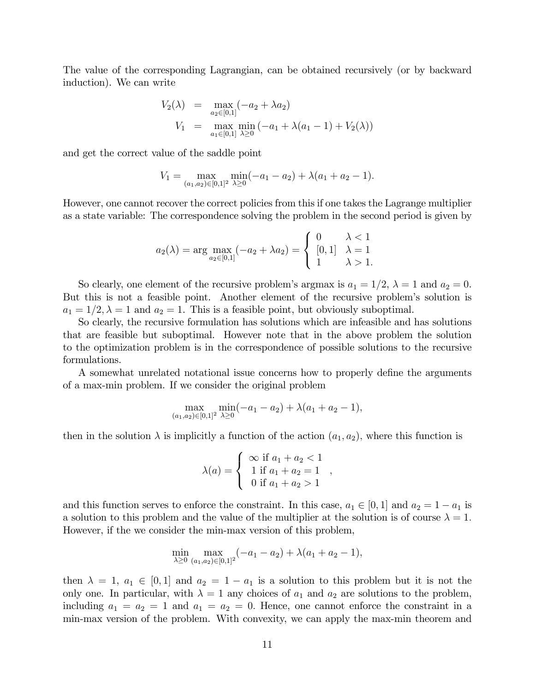The value of the corresponding Lagrangian, can be obtained recursively (or by backward induction). We can write

$$
V_2(\lambda) = \max_{a_2 \in [0,1]} (-a_2 + \lambda a_2)
$$
  
\n
$$
V_1 = \max_{a_1 \in [0,1]} \min_{\lambda \ge 0} (-a_1 + \lambda(a_1 - 1) + V_2(\lambda))
$$

and get the correct value of the saddle point

$$
V_1 = \max_{(a_1, a_2) \in [0, 1]^2} \min_{\lambda \ge 0} (-a_1 - a_2) + \lambda(a_1 + a_2 - 1).
$$

However, one cannot recover the correct policies from this if one takes the Lagrange multiplier as a state variable: The correspondence solving the problem in the second period is given by

$$
a_2(\lambda) = \arg \max_{a_2 \in [0,1]} (-a_2 + \lambda a_2) = \begin{cases} 0 & \lambda < 1 \\ [0,1] & \lambda = 1 \\ 1 & \lambda > 1. \end{cases}
$$

So clearly, one element of the recursive problem's argmax is  $a_1 = 1/2$ ,  $\lambda = 1$  and  $a_2 = 0$ . But this is not a feasible point. Another element of the recursive problem's solution is  $a_1 = 1/2, \lambda = 1$  and  $a_2 = 1$ . This is a feasible point, but obviously suboptimal.

So clearly, the recursive formulation has solutions which are infeasible and has solutions that are feasible but suboptimal. However note that in the above problem the solution to the optimization problem is in the correspondence of possible solutions to the recursive formulations.

A somewhat unrelated notational issue concerns how to properly define the arguments of a max-min problem. If we consider the original problem

$$
\max_{(a_1,a_2)\in[0,1]^2} \min_{\lambda\geq 0} (-a_1 - a_2) + \lambda(a_1 + a_2 - 1),
$$

then in the solution  $\lambda$  is implicitly a function of the action  $(a_1, a_2)$ , where this function is

$$
\lambda(a) = \begin{cases} \infty & \text{if } a_1 + a_2 < 1 \\ 1 & \text{if } a_1 + a_2 = 1 \\ 0 & \text{if } a_1 + a_2 > 1 \end{cases}
$$

;

and this function serves to enforce the constraint. In this case,  $a_1 \in [0, 1]$  and  $a_2 = 1 - a_1$  is a solution to this problem and the value of the multiplier at the solution is of course  $\lambda = 1$ . However, if the we consider the min-max version of this problem,

$$
\min_{\lambda \ge 0} \max_{(a_1, a_2) \in [0, 1]^2} (-a_1 - a_2) + \lambda (a_1 + a_2 - 1),
$$

then  $\lambda = 1$ ,  $a_1 \in [0, 1]$  and  $a_2 = 1 - a_1$  is a solution to this problem but it is not the only one. In particular, with  $\lambda = 1$  any choices of  $a_1$  and  $a_2$  are solutions to the problem, including  $a_1 = a_2 = 1$  and  $a_1 = a_2 = 0$ . Hence, one cannot enforce the constraint in a min-max version of the problem. With convexity, we can apply the max-min theorem and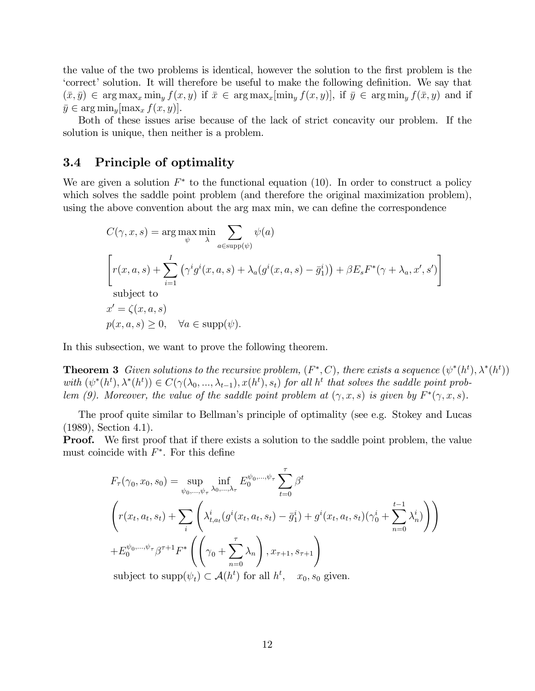the value of the two problems is identical, however the solution to the first problem is the Expectively is solution. It will therefore be useful to make the following definition. We say that  $(\bar{x}, \bar{y}) \in \arg \max_x \min_y f(x, y)$  if  $\bar{x} \in \arg \max_x[\min_y f(x, y)]$ , if  $\bar{y} \in \arg \min_y f(\bar{x}, y)$  and if  $\bar{y} \in \arg \min_{y} [\max_{x} f(x, y)].$ 

Both of these issues arise because of the lack of strict concavity our problem. If the solution is unique, then neither is a problem.

### 3.4 Principle of optimality

We are given a solution  $F^*$  to the functional equation (10). In order to construct a policy which solves the saddle point problem (and therefore the original maximization problem), using the above convention about the arg max min, we can define the correspondence

$$
C(\gamma, x, s) = \arg \max_{\psi} \min_{\lambda} \sum_{a \in \text{supp}(\psi)} \psi(a)
$$
  

$$
\left[ r(x, a, s) + \sum_{i=1}^{I} (\gamma^i g^i(x, a, s) + \lambda_a (g^i(x, a, s) - \bar{g}_1^i)) + \beta E_s F^*(\gamma + \lambda_a, x', s') \right]
$$
  
subject to  

$$
x' = \zeta(x, a, s)
$$
  

$$
p(x, a, s) \ge 0, \quad \forall a \in \text{supp}(\psi).
$$

In this subsection, we want to prove the following theorem.

**Theorem 3** Given solutions to the recursive problem,  $(F^*, C)$ , there exists a sequence  $(\psi^*(h^t), \lambda^*(h^t))$ with  $(\psi^*(h^t), \lambda^*(h^t)) \in C(\gamma(\lambda_0, ..., \lambda_{t-1}), x(h^t), s_t)$  for all  $h^t$  that solves the saddle point problem (9). Moreover, the value of the saddle point problem at  $(\gamma, x, s)$  is given by  $F^*(\gamma, x, s)$ .

The proof quite similar to Bellmanís principle of optimality (see e.g. Stokey and Lucas (1989), Section 4.1).

**Proof.** We first proof that if there exists a solution to the saddle point problem, the value must coincide with  $F^*$ . For this define

$$
F_{\tau}(\gamma_0, x_0, s_0) = \sup_{\psi_0, ..., \psi_{\tau}} \inf_{\lambda_0, ..., \lambda_{\tau}} E_0^{\psi_0, ..., \psi_{\tau}} \sum_{t=0}^{\tau} \beta^t
$$
  

$$
\left( r(x_t, a_t, s_t) + \sum_i \left( \lambda_{t, a_t}^i (g^i(x_t, a_t, s_t) - \bar{g}_1^i) + g^i(x_t, a_t, s_t) (\gamma_0^i + \sum_{n=0}^{t-1} \lambda_n^i) \right) \right)
$$

$$
+ E_0^{\psi_0, ..., \psi_{\tau}} \beta^{\tau+1} F^* \left( \left( \gamma_0 + \sum_{n=0}^{\tau} \lambda_n \right), x_{\tau+1}, s_{\tau+1} \right)
$$
  
subject to  $\text{supp}(\psi_t) \subset \mathcal{A}(h^t)$  for all  $h^t$ ,  $x_0, s_0$  given.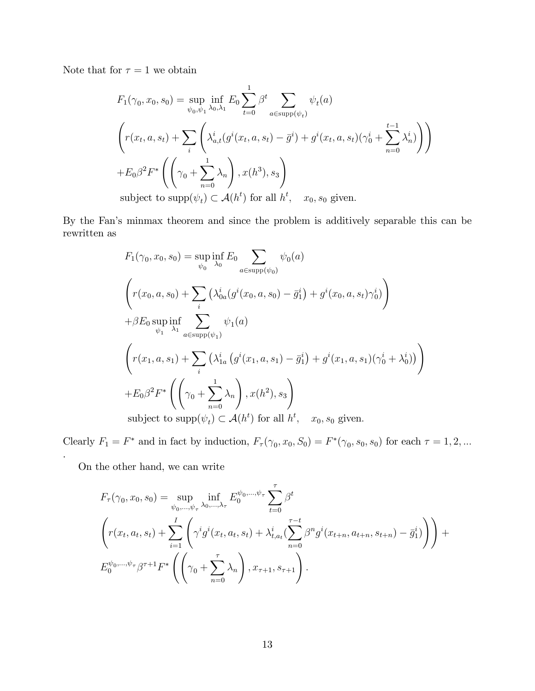Note that for  $\tau=1$  we obtain

$$
F_1(\gamma_0, x_0, s_0) = \sup_{\psi_0, \psi_1} \inf_{\lambda_0, \lambda_1} E_0 \sum_{t=0}^1 \beta^t \sum_{a \in \text{supp}(\psi_t)} \psi_t(a)
$$
  

$$
\left( r(x_t, a, s_t) + \sum_i \left( \lambda_{a,t}^i (g^i(x_t, a, s_t) - \bar{g}^i) + g^i(x_t, a, s_t) (\gamma_0^i + \sum_{n=0}^{t-1} \lambda_n^i) \right) \right)
$$
  

$$
+ E_0 \beta^2 F^* \left( \left( \gamma_0 + \sum_{n=0}^1 \lambda_n \right), x(h^3), s_3 \right)
$$
  
subject to  $\text{supp}(\psi_t) \subset \mathcal{A}(h^t)$  for all  $h^t$ ,  $x_0, s_0$  given.

By the Fan's minmax theorem and since the problem is additively separable this can be rewritten as

$$
F_{1}(\gamma_{0}, x_{0}, s_{0}) = \sup_{\psi_{0}} \inf_{\lambda_{0}} E_{0} \sum_{a \in \text{supp}(\psi_{0})} \psi_{0}(a)
$$
  

$$
\left(r(x_{0}, a, s_{0}) + \sum_{i} \left(\lambda_{0a}^{i}(g^{i}(x_{0}, a, s_{0}) - \bar{g}_{1}^{i}\right) + g^{i}(x_{0}, a, s_{t})\gamma_{0}^{i}\right)
$$

$$
+ \beta E_{0} \sup_{\psi_{1}} \inf_{\lambda_{1}} \sum_{a \in \text{supp}(\psi_{1})} \psi_{1}(a)
$$

$$
\left(r(x_{1}, a, s_{1}) + \sum_{i} \left(\lambda_{1a}^{i}\left(g^{i}(x_{1}, a, s_{1}) - \bar{g}_{1}^{i}\right) + g^{i}(x_{1}, a, s_{1})(\gamma_{0}^{i} + \lambda_{0}^{i})\right)\right)
$$

$$
+ E_{0}\beta^{2}F^{*}\left(\left(\gamma_{0} + \sum_{n=0}^{1} \lambda_{n}\right), x(h^{2}), s_{3}\right)
$$

$$
\text{subject to } \text{supp}(\psi_{t}) \subset \mathcal{A}(h^{t}) \text{ for all } h^{t}, x_{0}, s_{0} \text{ given.}
$$

Clearly  $F_1 = F^*$  and in fact by induction,  $F_\tau(\gamma_0, x_0, S_0) = F^*(\gamma_0, s_0, s_0)$  for each  $\tau = 1, 2, ...$ .

On the other hand, we can write

$$
F_{\tau}(\gamma_0, x_0, s_0) = \sup_{\psi_0, ..., \psi_{\tau}} \inf_{\lambda_0, ..., \lambda_{\tau}} E_0^{\psi_0, ..., \psi_{\tau}} \sum_{t=0}^{\tau} \beta^t
$$
  

$$
\left( r(x_t, a_t, s_t) + \sum_{i=1}^I \left( \gamma^i g^i(x_t, a_t, s_t) + \lambda_{t, a_t}^i (\sum_{n=0}^{\tau-t} \beta^n g^i(x_{t+n}, a_{t+n}, s_{t+n}) - \bar{g}_1^i) \right) \right) + E_0^{\psi_0, ..., \psi_{\tau}} \beta^{\tau+1} F^* \left( \left( \gamma_0 + \sum_{n=0}^{\tau} \lambda_n \right), x_{\tau+1}, s_{\tau+1} \right).
$$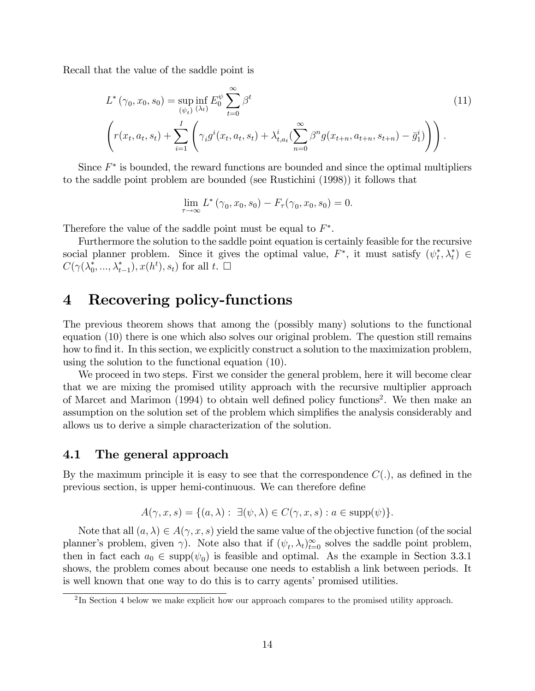Recall that the value of the saddle point is

$$
L^*(\gamma_0, x_0, s_0) = \sup_{(\psi_t)} \inf_{(\lambda_t)} E_0^{\psi} \sum_{t=0}^{\infty} \beta^t
$$
 (11)

$$
\left(r(x_t, a_t, s_t) + \sum_{i=1}^I \left(\gamma_i g^i(x_t, a_t, s_t) + \lambda_{t, a_t}^i \left(\sum_{n=0}^\infty \beta^n g(x_{t+n}, a_{t+n}, s_{t+n}) - \bar{g}_1^i\right)\right)\right).
$$

Since  $F^*$  is bounded, the reward functions are bounded and since the optimal multipliers to the saddle point problem are bounded (see Rustichini (1998)) it follows that

$$
\lim_{\tau \to \infty} L^*(\gamma_0, x_0, s_0) - F_\tau(\gamma_0, x_0, s_0) = 0.
$$

Therefore the value of the saddle point must be equal to  $F^*$ .

Furthermore the solution to the saddle point equation is certainly feasible for the recursive social planner problem. Since it gives the optimal value,  $F^*$ , it must satisfy  $(\psi_t^*, \lambda_t^*) \in$  $C(\gamma(\lambda_0^*,..., \lambda_{t-1}^*), x(h^t), s_t)$  for all  $t. \square$ 

### 4 Recovering policy-functions

The previous theorem shows that among the (possibly many) solutions to the functional equation (10) there is one which also solves our original problem. The question still remains how to find it. In this section, we explicitly construct a solution to the maximization problem, using the solution to the functional equation (10).

We proceed in two steps. First we consider the general problem, here it will become clear that we are mixing the promised utility approach with the recursive multiplier approach of Marcet and Marimon (1994) to obtain well defined policy functions<sup>2</sup>. We then make an assumption on the solution set of the problem which simplifies the analysis considerably and allows us to derive a simple characterization of the solution.

#### 4.1 The general approach

By the maximum principle it is easy to see that the correspondence  $C(.)$ , as defined in the previous section, is upper hemi-continuous. We can therefore define

$$
A(\gamma, x, s) = \{ (a, \lambda) : \exists (\psi, \lambda) \in C(\gamma, x, s) : a \in \text{supp}(\psi) \}.
$$

Note that all  $(a, \lambda) \in A(\gamma, x, s)$  yield the same value of the objective function (of the social planner's problem, given  $\gamma$ ). Note also that if  $(\psi_t, \lambda_t)_{t=0}^{\infty}$  solves the saddle point problem, then in fact each  $a_0 \in \text{supp}(\psi_0)$  is feasible and optimal. As the example in Section 3.3.1 shows, the problem comes about because one needs to establish a link between periods. It is well known that one way to do this is to carry agents' promised utilities.

 $2 \text{In Section 4 below we make explicit how our approach compares to the promised utility approach.}$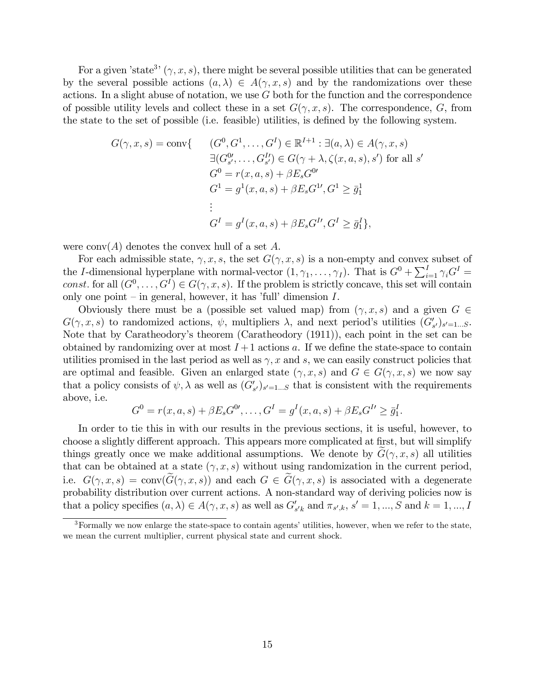For a given 'state<sup>3</sup>'  $(\gamma, x, s)$ , there might be several possible utilities that can be generated by the several possible actions  $(a, \lambda) \in A(\gamma, x, s)$  and by the randomizations over these actions. In a slight abuse of notation, we use  $G$  both for the function and the correspondence of possible utility levels and collect these in a set  $G(\gamma, x, s)$ . The correspondence, G, from the state to the set of possible (i.e. feasible) utilities, is defined by the following system.

$$
G(\gamma, x, s) = \text{conv}\{ \begin{array}{c} (G^0, G^1, \dots, G^I) \in \mathbb{R}^{I+1} : \exists (a, \lambda) \in A(\gamma, x, s) \\ \exists (G_{s'}^0, \dots, G_{s'}^I) \in G(\gamma + \lambda, \zeta(x, a, s), s') \text{ for all } s' \\ G^0 = r(x, a, s) + \beta E_s G^0' \\ G^1 = g^1(x, a, s) + \beta E_s G^{1I}, G^1 \ge \bar{g}_1^1 \\ \vdots \\ G^I = g^I(x, a, s) + \beta E_s G^{II}, G^I \ge \bar{g}_1^I \}, \end{array}
$$

were conv $(A)$  denotes the convex hull of a set A.

For each admissible state,  $\gamma$ , x, s, the set  $G(\gamma, x, s)$  is a non-empty and convex subset of the I-dimensional hyperplane with normal-vector  $(1, \gamma_1, \ldots, \gamma_I)$ . That is  $G^0 + \sum_{i=1}^I \gamma_i G^I =$ const. for all  $(G^0, \ldots, G^I) \in G(\gamma, x, s)$ . If the problem is strictly concave, this set will contain only one point – in general, however, it has 'full' dimension  $I$ .

Obviously there must be a (possible set valued map) from  $(\gamma, x, s)$  and a given  $G \in$  $G(\gamma, x, s)$  to randomized actions,  $\psi$ , multipliers  $\lambda$ , and next period's utilities  $(G'_{s'})_{s'=1...S}$ . Note that by Caratheodory's theorem (Caratheodory (1911)), each point in the set can be obtained by randomizing over at most  $I+1$  actions a. If we define the state-space to contain utilities promised in the last period as well as  $\gamma$ , x and s, we can easily construct policies that are optimal and feasible. Given an enlarged state  $(\gamma, x, s)$  and  $G \in G(\gamma, x, s)$  we now say that a policy consists of  $\psi$ ,  $\lambda$  as well as  $(G'_{s'})_{s'=1...S}$  that is consistent with the requirements above, i.e.

$$
G^{0} = r(x, a, s) + \beta E_{s} G^{0}, \dots, G^{I} = g^{I}(x, a, s) + \beta E_{s} G^{I} \geq \bar{g}_{1}^{I}.
$$

In order to tie this in with our results in the previous sections, it is useful, however, to choose a slightly different approach. This appears more complicated at first, but will simplify things greatly once we make additional assumptions. We denote by  $G(\gamma, x, s)$  all utilities that can be obtained at a state  $(\gamma, x, s)$  without using randomization in the current period, i.e.  $G(\gamma, x, s) = \text{conv}(G(\gamma, x, s))$  and each  $G \in G(\gamma, x, s)$  is associated with a degenerate probability distribution over current actions. A non-standard way of deriving policies now is that a policy specifies  $(a, \lambda) \in A(\gamma, x, s)$  as well as  $G'_{s'k}$  and  $\pi_{s',k}, s' = 1, ..., S$  and  $k = 1, ..., I$ 

 $3$ Formally we now enlarge the state-space to contain agents' utilities, however, when we refer to the state, we mean the current multiplier, current physical state and current shock.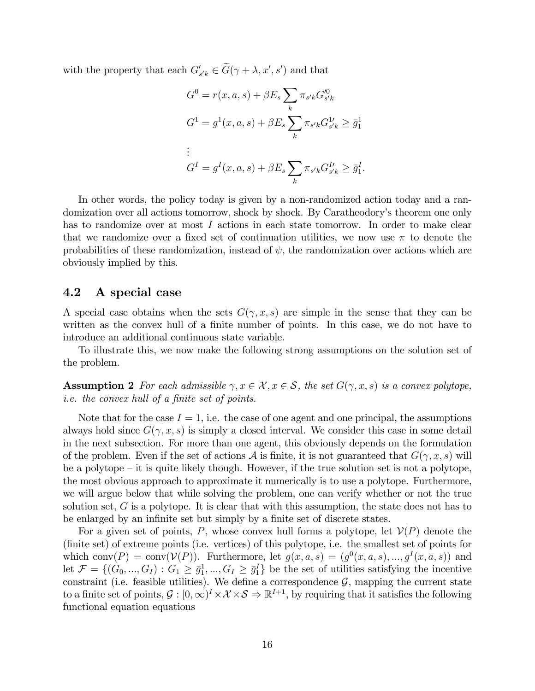with the property that each  $G'_{s'k} \in G(\gamma + \lambda, x', s')$  and that

$$
G^{0} = r(x, a, s) + \beta E_{s} \sum_{k} \pi_{s'k} G_{s'k}^{'0}
$$
  
\n
$$
G^{1} = g^{1}(x, a, s) + \beta E_{s} \sum_{k} \pi_{s'k} G_{s'k}^{1'} \geq \bar{g}_{1}^{1}
$$
  
\n:  
\n:  
\n
$$
G^{I} = g^{I}(x, a, s) + \beta E_{s} \sum_{k} \pi_{s'k} G_{s'k}^{I'} \geq \bar{g}_{1}^{I}.
$$

In other words, the policy today is given by a non-randomized action today and a randomization over all actions tomorrow, shock by shock. By Caratheodory's theorem one only has to randomize over at most I actions in each state tomorrow. In order to make clear that we randomize over a fixed set of continuation utilities, we now use  $\pi$  to denote the probabilities of these randomization, instead of  $\psi$ , the randomization over actions which are obviously implied by this.

### 4.2 A special case

A special case obtains when the sets  $G(\gamma, x, s)$  are simple in the sense that they can be written as the convex hull of a finite number of points. In this case, we do not have to introduce an additional continuous state variable.

To illustrate this, we now make the following strong assumptions on the solution set of the problem.

**Assumption 2** For each admissible  $\gamma, x \in \mathcal{X}, x \in \mathcal{S}$ , the set  $G(\gamma, x, s)$  is a convex polytope, *i.e.* the convex hull of a finite set of points.

Note that for the case  $I = 1$ , i.e. the case of one agent and one principal, the assumptions always hold since  $G(\gamma, x, s)$  is simply a closed interval. We consider this case in some detail in the next subsection. For more than one agent, this obviously depends on the formulation of the problem. Even if the set of actions  $A$  is finite, it is not guaranteed that  $G(\gamma, x, s)$  will be a polytope  $-\text{it}$  is quite likely though. However, if the true solution set is not a polytope, the most obvious approach to approximate it numerically is to use a polytope. Furthermore, we will argue below that while solving the problem, one can verify whether or not the true solution set,  $G$  is a polytope. It is clear that with this assumption, the state does not has to be enlarged by an infinite set but simply by a finite set of discrete states.

For a given set of points, P, whose convex hull forms a polytope, let  $\mathcal{V}(P)$  denote the (Önite set) of extreme points (i.e. vertices) of this polytope, i.e. the smallest set of points for which conv $(P) = \text{conv}(V(P))$ . Furthermore, let  $g(x, a, s) = (g^0(x, a, s), ..., g^I(x, a, s))$  and let  $\mathcal{F} = \{ (G_0, ..., G_I) : G_1 \geq \bar{g}_1^1, ..., G_I \geq \bar{g}_1^I \}$  be the set of utilities satisfying the incentive constraint (i.e. feasible utilities). We define a correspondence  $\mathcal{G}$ , mapping the current state to a finite set of points,  $\mathcal{G}: [0, \infty)^{I} \times \mathcal{X} \times \mathcal{S} \Rightarrow \mathbb{R}^{I+1}$ , by requiring that it satisfies the following functional equation equations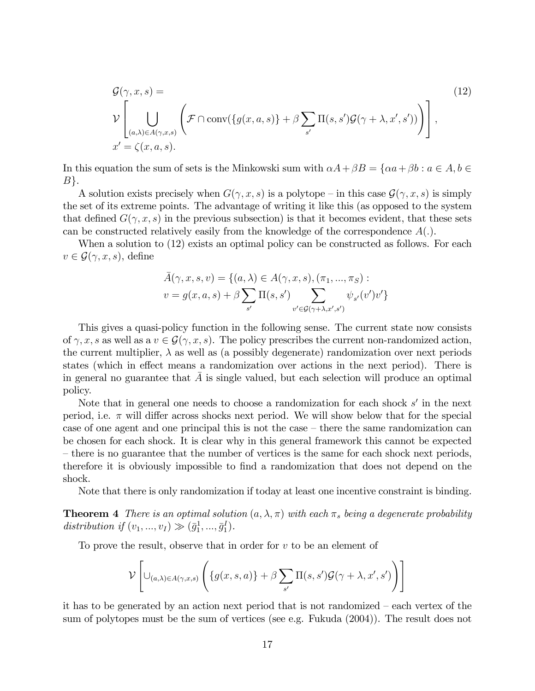$$
\mathcal{G}(\gamma, x, s) = \gamma \left[ \bigcup_{(a,\lambda)\in A(\gamma,x,s)} \left( \mathcal{F} \cap \text{conv}(\{g(x,a,s)\} + \beta \sum_{s'} \Pi(s,s')\mathcal{G}(\gamma + \lambda, x', s')) \right) \right],
$$
\n
$$
x' = \zeta(x,a,s).
$$
\n(12)

In this equation the sum of sets is the Minkowski sum with  $\alpha A + \beta B = \{\alpha a + \beta b : a \in A, b \in A\}$  $B$ .

A solution exists precisely when  $G(\gamma, x, s)$  is a polytope – in this case  $\mathcal{G}(\gamma, x, s)$  is simply the set of its extreme points. The advantage of writing it like this (as opposed to the system that defined  $G(\gamma, x, s)$  in the previous subsection) is that it becomes evident, that these sets can be constructed relatively easily from the knowledge of the correspondence  $A(.)$ .

When a solution to  $(12)$  exists an optimal policy can be constructed as follows. For each  $v \in \mathcal{G}(\gamma, x, s)$ , define

$$
\bar{A}(\gamma, x, s, v) = \{(a, \lambda) \in A(\gamma, x, s), (\pi_1, ..., \pi_S) :
$$
  

$$
v = g(x, a, s) + \beta \sum_{s'} \Pi(s, s') \sum_{v' \in \mathcal{G}(\gamma + \lambda, x', s')} \psi_{s'}(v')v'\}
$$

This gives a quasi-policy function in the following sense. The current state now consists of  $\gamma, x, s$  as well as a  $v \in \mathcal{G}(\gamma, x, s)$ . The policy prescribes the current non-randomized action, the current multiplier,  $\lambda$  as well as (a possibly degenerate) randomization over next periods states (which in effect means a randomization over actions in the next period). There is in general no guarantee that A is single valued, but each selection will produce an optimal policy.

Note that in general one needs to choose a randomization for each shock  $s'$  in the next period, i.e.  $\pi$  will differ across shocks next period. We will show below that for the special case of one agent and one principal this is not the case  $-$  there the same randomization can be chosen for each shock. It is clear why in this general framework this cannot be expected  $\overline{\phantom{a}}$  there is no guarantee that the number of vertices is the same for each shock next periods, therefore it is obviously impossible to Önd a randomization that does not depend on the shock.

Note that there is only randomization if today at least one incentive constraint is binding.

**Theorem 4** There is an optimal solution  $(a, \lambda, \pi)$  with each  $\pi_s$  being a degenerate probability distribution if  $(v_1, ..., v_I) \gg (\bar{g}_1^1, ..., \bar{g}_1^I)$ .

To prove the result, observe that in order for  $v$  to be an element of

$$
\mathcal{V}\left[\cup_{(a,\lambda)\in A(\gamma,x,s)}\left(\{g(x,s,a)\}+\beta\sum_{s'}\Pi(s,s')\mathcal{G}(\gamma+\lambda,x',s')\right)\right]
$$

it has to be generated by an action next period that is not randomized  $-$  each vertex of the sum of polytopes must be the sum of vertices (see e.g. Fukuda (2004)). The result does not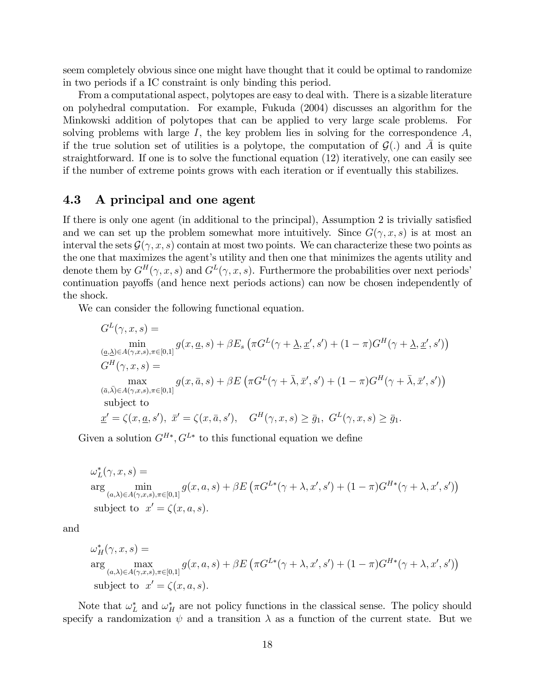seem completely obvious since one might have thought that it could be optimal to randomize in two periods if a IC constraint is only binding this period.

From a computational aspect, polytopes are easy to deal with. There is a sizable literature on polyhedral computation. For example, Fukuda (2004) discusses an algorithm for the Minkowski addition of polytopes that can be applied to very large scale problems. For solving problems with large  $I$ , the key problem lies in solving for the correspondence  $A$ , if the true solution set of utilities is a polytope, the computation of  $\mathcal{G}(\cdot)$  and A is quite straightforward. If one is to solve the functional equation (12) iteratively, one can easily see if the number of extreme points grows with each iteration or if eventually this stabilizes.

### 4.3 A principal and one agent

If there is only one agent (in additional to the principal), Assumption  $2$  is trivially satisfied and we can set up the problem somewhat more intuitively. Since  $G(\gamma, x, s)$  is at most an interval the sets  $\mathcal{G}(\gamma, x, s)$  contain at most two points. We can characterize these two points as the one that maximizes the agent's utility and then one that minimizes the agents utility and denote them by  $G^H(\gamma, x, s)$  and  $G^L(\gamma, x, s)$ . Furthermore the probabilities over next periods' continuation payoffs (and hence next periods actions) can now be chosen independently of the shock.

We can consider the following functional equation.

$$
G^{L}(\gamma, x, s) = \min_{(\underline{a}, \underline{\lambda}) \in A(\gamma, x, s), \pi \in [0, 1]} g(x, \underline{a}, s) + \beta E_{s} \left( \pi G^{L}(\gamma + \underline{\lambda}, \underline{x}', s') + (1 - \pi) G^{H}(\gamma + \underline{\lambda}, \underline{x}', s') \right)
$$
  
\n
$$
G^{H}(\gamma, x, s) = \max_{(\overline{a}, \overline{\lambda}) \in A(\gamma, x, s), \pi \in [0, 1]} g(x, \overline{a}, s) + \beta E \left( \pi G^{L}(\gamma + \overline{\lambda}, \overline{x}', s') + (1 - \pi) G^{H}(\gamma + \overline{\lambda}, \overline{x}', s') \right)
$$
  
\nsubject to  
\n
$$
\underline{x}' = \zeta(x, \underline{a}, s'), \ \overline{x}' = \zeta(x, \overline{a}, s'), \quad G^{H}(\gamma, x, s) \ge \overline{g}_{1}, \ G^{L}(\gamma, x, s) \ge \overline{g}_{1}.
$$

Given a solution  $G^{H*}, G^{L*}$  to this functional equation we define

 $\omega_L^*(\gamma, x, s) =$ L arg min  $(a,\lambda) \in A(\gamma,x,s), \pi \in [0,1]$  $g(x, a, s) + \beta E \left( \pi G^{L*}(\gamma + \lambda, x', s') + (1 - \pi)G^{H*}(\gamma + \lambda, x', s') \right)$ subject to  $x' = \zeta(x, a, s)$ .

and

$$
\omega_H^*(\gamma, x, s) =
$$
  
arg  
<sub>(a,\lambda) \in A(\gamma, x, s), \pi \in [0,1]} g(x, a, s) + \beta E \left( \pi G^{L\*}(\gamma + \lambda, x', s') + (1 - \pi) G^{H\*}(\gamma + \lambda, x', s') \right)  
subject to  $x' = \zeta(x, a, s)$ .</sub>

Note that  $\omega_L^*$  and  $\omega_H^*$  are not policy functions in the classical sense. The policy should specify a randomization  $\psi$  and a transition  $\lambda$  as a function of the current state. But we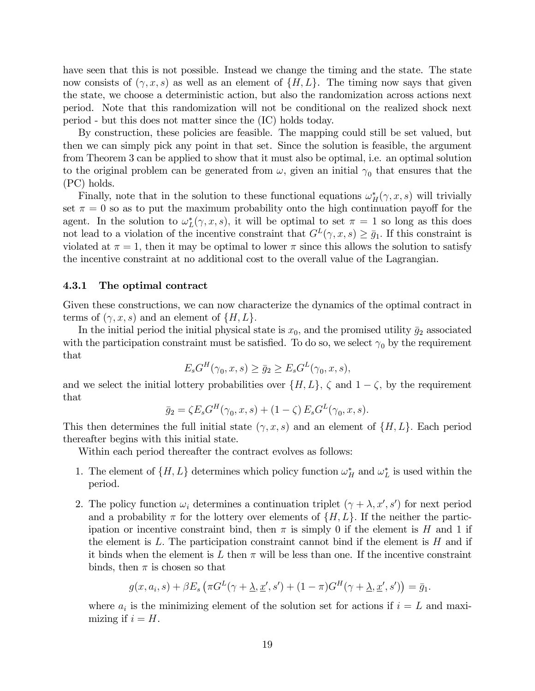have seen that this is not possible. Instead we change the timing and the state. The state now consists of  $(\gamma, x, s)$  as well as an element of  $\{H, L\}$ . The timing now says that given the state, we choose a deterministic action, but also the randomization across actions next period. Note that this randomization will not be conditional on the realized shock next period - but this does not matter since the (IC) holds today.

By construction, these policies are feasible. The mapping could still be set valued, but then we can simply pick any point in that set. Since the solution is feasible, the argument from Theorem 3 can be applied to show that it must also be optimal, i.e. an optimal solution to the original problem can be generated from  $\omega$ , given an initial  $\gamma_0$  that ensures that the (PC) holds.

Finally, note that in the solution to these functional equations  $\omega_H^*(\gamma, x, s)$  will trivially set  $\pi = 0$  so as to put the maximum probability onto the high continuation payoff for the agent. In the solution to  $\omega_L^*(\gamma, x, s)$ , it will be optimal to set  $\pi = 1$  so long as this does not lead to a violation of the incentive constraint that  $G<sup>L</sup>(\gamma, x, s) \ge \bar{g}_1$ . If this constraint is violated at  $\pi = 1$ , then it may be optimal to lower  $\pi$  since this allows the solution to satisfy the incentive constraint at no additional cost to the overall value of the Lagrangian.

#### 4.3.1 The optimal contract

Given these constructions, we can now characterize the dynamics of the optimal contract in terms of  $(\gamma, x, s)$  and an element of  $\{H, L\}.$ 

In the initial period the initial physical state is  $x_0$ , and the promised utility  $\bar{g}_2$  associated with the participation constraint must be satisfied. To do so, we select  $\gamma_0$  by the requirement that

$$
E_s G^H(\gamma_0, x, s) \ge \bar{g}_2 \ge E_s G^L(\gamma_0, x, s),
$$

and we select the initial lottery probabilities over  $\{H, L\}$ ,  $\zeta$  and  $1 - \zeta$ , by the requirement that

$$
\bar{g}_2 = \zeta E_s G^H(\gamma_0, x, s) + (1 - \zeta) E_s G^L(\gamma_0, x, s).
$$

This then determines the full initial state  $(\gamma, x, s)$  and an element of  $\{H, L\}$ . Each period thereafter begins with this initial state.

Within each period thereafter the contract evolves as follows:

- 1. The element of  $\{H, L\}$  determines which policy function  $\omega_H^*$  and  $\omega_L^*$  is used within the period.
- 2. The policy function  $\omega_i$  determines a continuation triplet  $(\gamma + \lambda, x', s')$  for next period and a probability  $\pi$  for the lottery over elements of  $\{H, L\}$ . If the neither the participation or incentive constraint bind, then  $\pi$  is simply 0 if the element is H and 1 if the element is  $L$ . The participation constraint cannot bind if the element is  $H$  and if it binds when the element is  $L$  then  $\pi$  will be less than one. If the incentive constraint binds, then  $\pi$  is chosen so that

$$
g(x, a_i, s) + \beta E_s \left( \pi G^L(\gamma + \underline{\lambda}, \underline{x}', s') + (1 - \pi)G^H(\gamma + \underline{\lambda}, \underline{x}', s') \right) = \overline{g}_1.
$$

where  $a_i$  is the minimizing element of the solution set for actions if  $i = L$  and maximizing if  $i = H$ .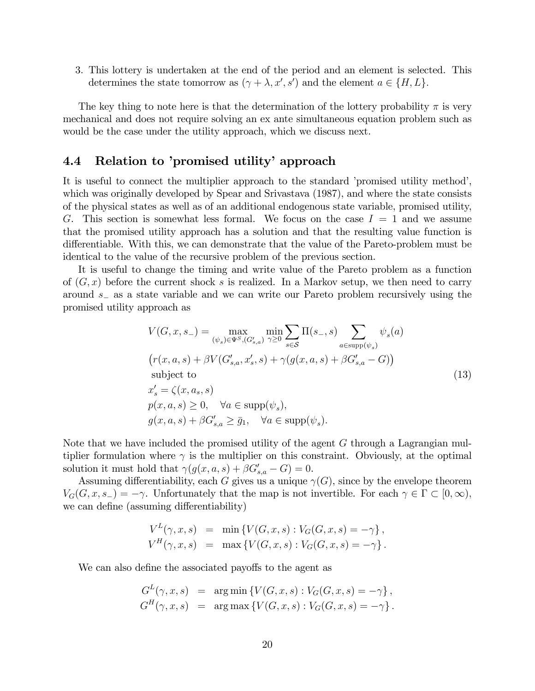3. This lottery is undertaken at the end of the period and an element is selected. This determines the state tomorrow as  $(\gamma + \lambda, x', s')$  and the element  $a \in \{H, L\}$ .

The key thing to note here is that the determination of the lottery probability  $\pi$  is very mechanical and does not require solving an ex ante simultaneous equation problem such as would be the case under the utility approach, which we discuss next.

### 4.4 Relation to 'promised utility' approach

It is useful to connect the multiplier approach to the standard 'promised utility method', which was originally developed by Spear and Srivastava (1987), and where the state consists of the physical states as well as of an additional endogenous state variable, promised utility, G. This section is somewhat less formal. We focus on the case  $I = 1$  and we assume that the promised utility approach has a solution and that the resulting value function is differentiable. With this, we can demonstrate that the value of the Pareto-problem must be identical to the value of the recursive problem of the previous section.

It is useful to change the timing and write value of the Pareto problem as a function of  $(G, x)$  before the current shock s is realized. In a Markov setup, we then need to carry around  $s<sub>-</sub>$  as a state variable and we can write our Pareto problem recursively using the promised utility approach as

$$
V(G, x, s_{-}) = \max_{(\psi_{s}) \in \Psi^{S}, (G'_{s,a})} \min_{\gamma \ge 0} \sum_{s \in S} \Pi(s_{-}, s) \sum_{a \in \text{supp}(\psi_{s})} \psi_{s}(a)
$$
  
\n
$$
(r(x, a, s) + \beta V(G'_{s,a}, x'_{s}, s) + \gamma (g(x, a, s) + \beta G'_{s,a} - G))
$$
  
\nsubject to  
\n
$$
x'_{s} = \zeta(x, a_{s}, s)
$$
  
\n
$$
p(x, a, s) \ge 0, \quad \forall a \in \text{supp}(\psi_{s}),
$$
  
\n
$$
g(x, a, s) + \beta G'_{s,a} \ge \bar{g}_{1}, \quad \forall a \in \text{supp}(\psi_{s}).
$$
\n(13)

Note that we have included the promised utility of the agent G through a Lagrangian multiplier formulation where  $\gamma$  is the multiplier on this constraint. Obviously, at the optimal solution it must hold that  $\gamma(g(x, a, s) + \beta G'_{s,a} - G) = 0.$ 

Assuming differentiability, each G gives us a unique  $\gamma(G)$ , since by the envelope theorem  $V_G(G, x, s_-) = -\gamma$ . Unfortunately that the map is not invertible. For each  $\gamma \in \Gamma \subset [0, \infty)$ , we can define (assuming differentiability)

$$
V^{L}(\gamma, x, s) = \min \{ V(G, x, s) : V_{G}(G, x, s) = -\gamma \},
$$
  

$$
V^{H}(\gamma, x, s) = \max \{ V(G, x, s) : V_{G}(G, x, s) = -\gamma \}.
$$

We can also define the associated payoffs to the agent as

$$
G^L(\gamma, x, s) = \arg \min \{ V(G, x, s) : V_G(G, x, s) = -\gamma \},
$$
  

$$
G^H(\gamma, x, s) = \arg \max \{ V(G, x, s) : V_G(G, x, s) = -\gamma \}.
$$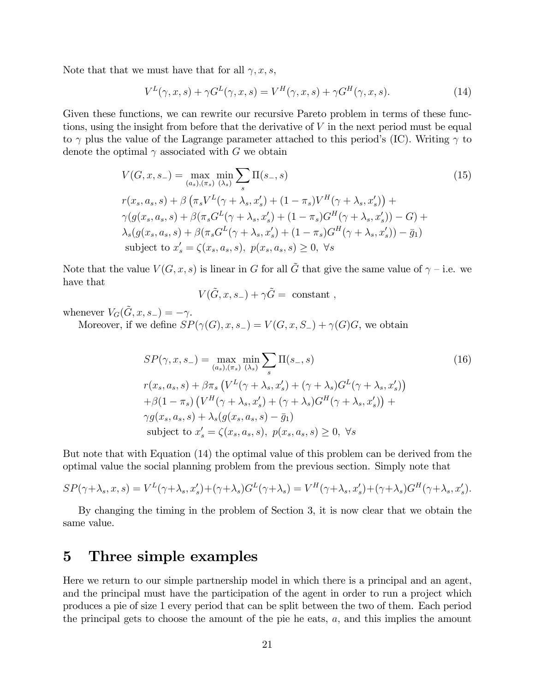Note that that we must have that for all  $\gamma, x, s$ ,

$$
V^{L}(\gamma, x, s) + \gamma G^{L}(\gamma, x, s) = V^{H}(\gamma, x, s) + \gamma G^{H}(\gamma, x, s).
$$
\n(14)

Given these functions, we can rewrite our recursive Pareto problem in terms of these functions, using the insight from before that the derivative of  $V$  in the next period must be equal to  $\gamma$  plus the value of the Lagrange parameter attached to this period's (IC). Writing  $\gamma$  to denote the optimal  $\gamma$  associated with G we obtain

$$
V(G, x, s_{-}) = \max_{(a_{s}), (\pi_{s})} \min_{(\lambda_{s})} \sum_{s} \Pi(s_{-}, s)
$$
(15)  

$$
r(x_{s}, a_{s}, s) + \beta \left(\pi_{s} V^{L}(\gamma + \lambda_{s}, x'_{s}) + (1 - \pi_{s}) V^{H}(\gamma + \lambda_{s}, x'_{s})\right) +
$$
  

$$
\gamma(g(x_{s}, a_{s}, s) + \beta(\pi_{s} G^{L}(\gamma + \lambda_{s}, x'_{s}) + (1 - \pi_{s}) G^{H}(\gamma + \lambda_{s}, x'_{s})) - G) +
$$
  

$$
\lambda_{s}(g(x_{s}, a_{s}, s) + \beta(\pi_{s} G^{L}(\gamma + \lambda_{s}, x'_{s}) + (1 - \pi_{s}) G^{H}(\gamma + \lambda_{s}, x'_{s})) - \bar{g}_{1})
$$
  
subject to  $x'_{s} = \zeta(x_{s}, a_{s}, s), p(x_{s}, a_{s}, s) \ge 0, \forall s$  (15)

Note that the value  $V(G, x, s)$  is linear in G for all  $\tilde{G}$  that give the same value of  $\gamma$  – i.e. we have that

$$
V(\tilde{G}, x, s_-) + \gamma \tilde{G} = \text{ constant} ,
$$

whenever  $V_G(\tilde{G}, x, s_-) = -\gamma$ . Moreover, if we define  $SP(\gamma(G), x, s_-) = V(G, x, S_-) + \gamma(G)G$ , we obtain

$$
SP(\gamma, x, s_{-}) = \max_{(a_{s}), (\pi_{s})} \min_{(\lambda_{s})} \sum_{s} \Pi(s_{-}, s)
$$
  
\n
$$
r(x_{s}, a_{s}, s) + \beta \pi_{s} \left( V^{L}(\gamma + \lambda_{s}, x'_{s}) + (\gamma + \lambda_{s}) G^{L}(\gamma + \lambda_{s}, x'_{s}) \right)
$$
  
\n
$$
+ \beta (1 - \pi_{s}) \left( V^{H}(\gamma + \lambda_{s}, x'_{s}) + (\gamma + \lambda_{s}) G^{H}(\gamma + \lambda_{s}, x'_{s}) \right) +
$$
  
\n
$$
\gamma g(x_{s}, a_{s}, s) + \lambda_{s} (g(x_{s}, a_{s}, s) - \bar{g}_{1})
$$
  
\nsubject to  $x'_{s} = \zeta(x_{s}, a_{s}, s), p(x_{s}, a_{s}, s) \geq 0, \forall s$  (16)

But note that with Equation (14) the optimal value of this problem can be derived from the optimal value the social planning problem from the previous section. Simply note that

$$
SP(\gamma + \lambda_s, x, s) = V^L(\gamma + \lambda_s, x'_s) + (\gamma + \lambda_s)G^L(\gamma + \lambda_s) = V^H(\gamma + \lambda_s, x'_s) + (\gamma + \lambda_s)G^H(\gamma + \lambda_s, x'_s).
$$

By changing the timing in the problem of Section 3, it is now clear that we obtain the same value.

### 5 Three simple examples

Here we return to our simple partnership model in which there is a principal and an agent, and the principal must have the participation of the agent in order to run a project which produces a pie of size 1 every period that can be split between the two of them. Each period the principal gets to choose the amount of the pie he eats,  $a$ , and this implies the amount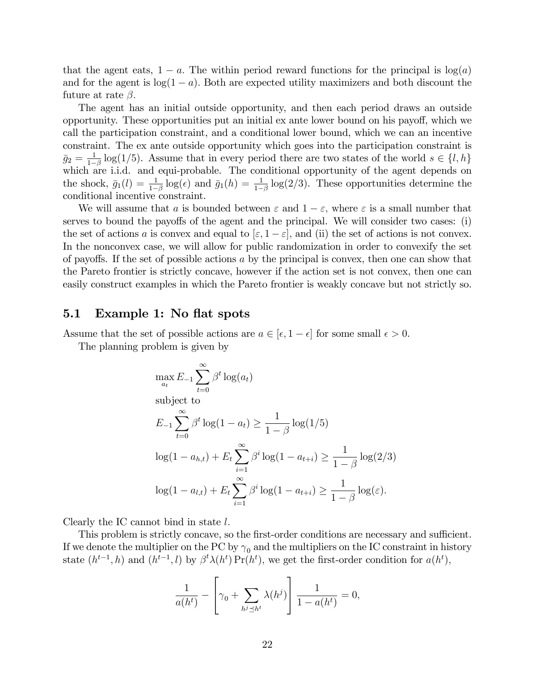that the agent eats,  $1 - a$ . The within period reward functions for the principal is  $log(a)$ and for the agent is  $log(1 - a)$ . Both are expected utility maximizers and both discount the future at rate  $\beta$ .

The agent has an initial outside opportunity, and then each period draws an outside opportunity. These opportunities put an initial ex ante lower bound on his payo§, which we call the participation constraint, and a conditional lower bound, which we can an incentive constraint. The ex ante outside opportunity which goes into the participation constraint is  $\bar{g}_2 = \frac{1}{1-\beta} \log(1/5)$ . Assume that in every period there are two states of the world  $s \in \{l, h\}$  $g_2 = \frac{1}{1-\beta}$  is  $g_2(1/\sigma)$ . Assume that in every period there are two states of the world  $\beta \in \{1, n\}$  which are i.i.d. and equi-probable. The conditional opportunity of the agent depends on the shock,  $\bar{g}_1(l) = \frac{1}{1-\beta} \log(\epsilon)$  and  $\bar{g}_1(h) = \frac{1}{1-\beta} \log(2/3)$ . These opportunities determine the conditional incentive constraint.

We will assume that a is bounded between  $\varepsilon$  and  $1 - \varepsilon$ , where  $\varepsilon$  is a small number that serves to bound the payoffs of the agent and the principal. We will consider two cases: (i) the set of actions a is convex and equal to  $|\varepsilon, 1 - \varepsilon|$ , and (ii) the set of actions is not convex. In the nonconvex case, we will allow for public randomization in order to convexify the set of payoffs. If the set of possible actions  $a$  by the principal is convex, then one can show that the Pareto frontier is strictly concave, however if the action set is not convex, then one can easily construct examples in which the Pareto frontier is weakly concave but not strictly so.

#### 5.1 Example 1: No flat spots

Assume that the set of possible actions are  $a \in [\epsilon, 1 - \epsilon]$  for some small  $\epsilon > 0$ .

The planning problem is given by

$$
\max_{a_t} E_{-1} \sum_{t=0}^{\infty} \beta^t \log(a_t)
$$
\nsubject to\n
$$
E_{-1} \sum_{t=0}^{\infty} \beta^t \log(1 - a_t) \ge \frac{1}{1 - \beta} \log(1/5)
$$
\n
$$
\log(1 - a_{h,t}) + E_t \sum_{i=1}^{\infty} \beta^i \log(1 - a_{t+i}) \ge \frac{1}{1 - \beta} \log(2/3)
$$
\n
$$
\log(1 - a_{l,t}) + E_t \sum_{i=1}^{\infty} \beta^i \log(1 - a_{t+i}) \ge \frac{1}{1 - \beta} \log(\varepsilon).
$$

Clearly the IC cannot bind in state  $l$ .

This problem is strictly concave, so the first-order conditions are necessary and sufficient. If we denote the multiplier on the PC by  $\gamma_0$  and the multipliers on the IC constraint in history state  $(h^{t-1}, h)$  and  $(h^{t-1}, l)$  by  $\beta^t \lambda(h^t) \Pr(h^t)$ , we get the first-order condition for  $a(h^t)$ ,

$$
\frac{1}{a(h^t)} - \left[\gamma_0 + \sum_{h^j \preceq h^t} \lambda(h^j)\right] \frac{1}{1 - a(h^t)} = 0,
$$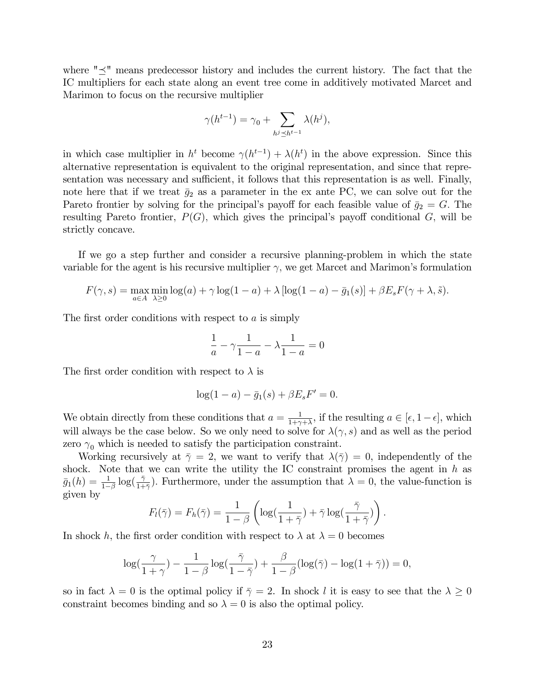where " $\preceq$ " means predecessor history and includes the current history. The fact that the IC multipliers for each state along an event tree come in additively motivated Marcet and Marimon to focus on the recursive multiplier

$$
\gamma(h^{t-1}) = \gamma_0 + \sum_{h^j \le h^{t-1}} \lambda(h^j),
$$

in which case multiplier in  $h^t$  become  $\gamma(h^{t-1}) + \lambda(h^t)$  in the above expression. Since this alternative representation is equivalent to the original representation, and since that representation was necessary and sufficient, it follows that this representation is as well. Finally, note here that if we treat  $\bar{g}_2$  as a parameter in the ex ante PC, we can solve out for the Pareto frontier by solving for the principal's payoff for each feasible value of  $\bar{g}_2 = G$ . The resulting Pareto frontier,  $P(G)$ , which gives the principal's payoff conditional G, will be strictly concave.

If we go a step further and consider a recursive planning-problem in which the state variable for the agent is his recursive multiplier  $\gamma$ , we get Marcet and Marimon's formulation

$$
F(\gamma, s) = \max_{a \in A} \min_{\lambda \ge 0} \log(a) + \gamma \log(1 - a) + \lambda [\log(1 - a) - \bar{g}_1(s)] + \beta E_s F(\gamma + \lambda, \tilde{s}).
$$

The first order conditions with respect to  $\alpha$  is simply

$$
\frac{1}{a} - \gamma \frac{1}{1 - a} - \lambda \frac{1}{1 - a} = 0
$$

The first order condition with respect to  $\lambda$  is

$$
\log(1 - a) - \bar{g}_1(s) + \beta E_s F' = 0.
$$

We obtain directly from these conditions that  $a = \frac{1}{1+\gamma}$  $\frac{1}{1+\gamma+\lambda}$ , if the resulting  $a \in [\epsilon, 1-\epsilon]$ , which will always be the case below. So we only need to solve for  $\lambda(\gamma, s)$  and as well as the period zero  $\gamma_0$  which is needed to satisfy the participation constraint.

Working recursively at  $\bar{\gamma} = 2$ , we want to verify that  $\lambda(\bar{\gamma}) = 0$ , independently of the shock. Note that we can write the utility the IC constraint promises the agent in  $h$  as  $\bar{g}_1(h) = \frac{1}{1-\beta} \log(\frac{\bar{\gamma}}{1+\bar{\gamma}})$ . Furthermore, under the assumption that  $\lambda = 0$ , the value-function is given by

$$
F_l(\bar{\gamma}) = F_h(\bar{\gamma}) = \frac{1}{1-\beta} \left( \log(\frac{1}{1+\bar{\gamma}}) + \bar{\gamma} \log(\frac{\bar{\gamma}}{1+\bar{\gamma}}) \right).
$$

In shock h, the first order condition with respect to  $\lambda$  at  $\lambda = 0$  becomes

$$
\log(\frac{\gamma}{1+\gamma}) - \frac{1}{1-\beta}\log(\frac{\bar{\gamma}}{1-\bar{\gamma}}) + \frac{\beta}{1-\beta}(\log(\bar{\gamma}) - \log(1+\bar{\gamma})) = 0,
$$

so in fact  $\lambda = 0$  is the optimal policy if  $\overline{\gamma} = 2$ . In shock l it is easy to see that the  $\lambda \geq 0$ constraint becomes binding and so  $\lambda = 0$  is also the optimal policy.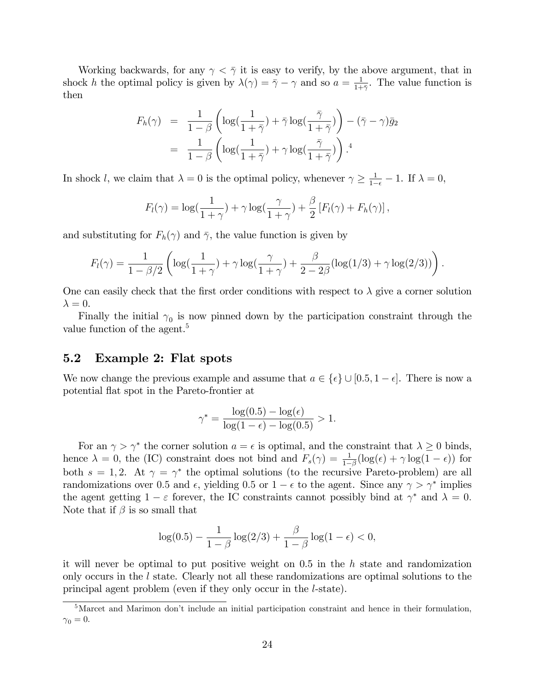Working backwards, for any  $\gamma < \bar{\gamma}$  it is easy to verify, by the above argument, that in shock h the optimal policy is given by  $\lambda(\gamma) = \overline{\gamma} - \gamma$  and so  $a = \frac{1}{1+\gamma}$  $\frac{1}{1+\bar{\gamma}}$ . The value function is then

$$
F_h(\gamma) = \frac{1}{1-\beta} \left( \log(\frac{1}{1+\bar{\gamma}}) + \bar{\gamma} \log(\frac{\bar{\gamma}}{1+\bar{\gamma}}) \right) - (\bar{\gamma} - \gamma) \bar{g}_2
$$
  
= 
$$
\frac{1}{1-\beta} \left( \log(\frac{1}{1+\bar{\gamma}}) + \gamma \log(\frac{\bar{\gamma}}{1+\bar{\gamma}}) \right).
$$
<sup>4</sup>

In shock l, we claim that  $\lambda = 0$  is the optimal policy, whenever  $\gamma \ge \frac{1}{1-\epsilon} - 1$ . If  $\lambda = 0$ ,

$$
F_l(\gamma) = \log(\frac{1}{1+\gamma}) + \gamma \log(\frac{\gamma}{1+\gamma}) + \frac{\beta}{2} [F_l(\gamma) + F_h(\gamma)],
$$

and substituting for  $F_h(\gamma)$  and  $\bar{\gamma}$ , the value function is given by

$$
F_l(\gamma) = \frac{1}{1-\beta/2} \left( \log(\frac{1}{1+\gamma}) + \gamma \log(\frac{\gamma}{1+\gamma}) + \frac{\beta}{2-2\beta} (\log(1/3) + \gamma \log(2/3)) \right).
$$

One can easily check that the first order conditions with respect to  $\lambda$  give a corner solution  $\lambda = 0.$ 

Finally the initial  $\gamma_0$  is now pinned down by the participation constraint through the value function of the agent.<sup>5</sup>

### 5.2 Example 2: Flat spots

We now change the previous example and assume that  $a \in {\{\epsilon\}} \cup [0.5, 1 - \epsilon]$ . There is now a potential áat spot in the Pareto-frontier at

$$
\gamma^* = \frac{\log(0.5) - \log(\epsilon)}{\log(1 - \epsilon) - \log(0.5)} > 1.
$$

For an  $\gamma > \gamma^*$  the corner solution  $a = \epsilon$  is optimal, and the constraint that  $\lambda \geq 0$  binds, hence  $\lambda = 0$ , the (IC) constraint does not bind and  $F_s(\gamma) = \frac{1}{1-\beta} (\log(\epsilon) + \gamma \log(1-\epsilon))$  for both  $s = 1, 2$ . At  $\gamma = \gamma^*$  the optimal solutions (to the recursive Pareto-problem) are all randomizations over 0.5 and  $\epsilon$ , yielding 0.5 or  $1 - \epsilon$  to the agent. Since any  $\gamma > \gamma^*$  implies the agent getting  $1 - \varepsilon$  forever, the IC constraints cannot possibly bind at  $\gamma^*$  and  $\lambda = 0$ . Note that if  $\beta$  is so small that

$$
\log(0.5) - \frac{1}{1-\beta} \log(2/3) + \frac{\beta}{1-\beta} \log(1-\epsilon) < 0,
$$

it will never be optimal to put positive weight on 0.5 in the h state and randomization only occurs in the l state. Clearly not all these randomizations are optimal solutions to the principal agent problem (even if they only occur in the l-state).

<sup>&</sup>lt;sup>5</sup>Marcet and Marimon don't include an initial participation constraint and hence in their formulation,  $\gamma_0 = 0.$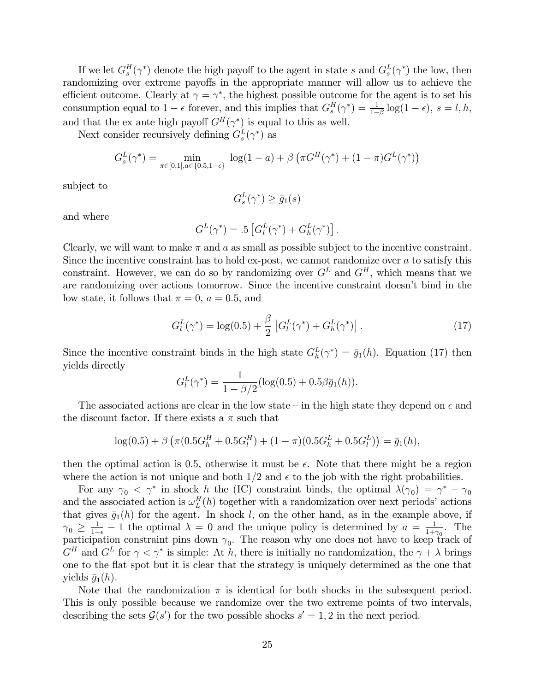If we let  $G_s^H(\gamma^*)$  denote the high payoff to the agent in state s and  $G_s^L(\gamma^*)$  the low, then randomizing over extreme payoffs in the appropriate manner will allow us to achieve the efficient outcome. Clearly at  $\gamma = \gamma^*$ , the highest possible outcome for the agent is to set his consumption equal to  $1 - \epsilon$  forever, and this implies that  $G_s^H(\gamma^*) = \frac{1}{1-\beta} \log(1-\epsilon)$ ,  $s = l, h$ , and that the ex ante high payoff  $G^H(\gamma^*)$  is equal to this as well.

Next consider recursively defining  $G_s^L(\gamma^*)$  as

$$
G_s^L(\gamma^*) = \min_{\pi \in [0,1], a \in \{0.5, 1-\epsilon\}} \log(1-a) + \beta \left(\pi G^H(\gamma^*) + (1-\pi)G^L(\gamma^*)\right)
$$

subject to

$$
G_s^L(\gamma^*) \ge \bar{g}_1(s)
$$

and where

$$
G^L(\gamma^*) = .5 \left[ G^L_l(\gamma^*) + G^L_h(\gamma^*) \right].
$$

Clearly, we will want to make  $\pi$  and a as small as possible subject to the incentive constraint. Since the incentive constraint has to hold ex-post, we cannot randomize over  $a$  to satisfy this constraint. However, we can do so by randomizing over  $G<sup>L</sup>$  and  $G<sup>H</sup>$ , which means that we are randomizing over actions tomorrow. Since the incentive constraint doesn't bind in the low state, it follows that  $\pi = 0$ ,  $a = 0.5$ , and

$$
G_l^L(\gamma^*) = \log(0.5) + \frac{\beta}{2} \left[ G_l^L(\gamma^*) + G_h^L(\gamma^*) \right]. \tag{17}
$$

Since the incentive constraint binds in the high state  $G_h^L(\gamma^*) = \bar{g}_1(h)$ . Equation (17) then yields directly

$$
G_l^L(\gamma^*) = \frac{1}{1 - \beta/2} (\log(0.5) + 0.5\beta \bar{g}_1(h)).
$$

The associated actions are clear in the low state – in the high state they depend on  $\epsilon$  and the discount factor. If there exists a  $\pi$  such that

$$
\log(0.5) + \beta \left( \pi (0.5G_h^H + 0.5G_l^H) + (1 - \pi)(0.5G_h^L + 0.5G_l^L) \right) = \bar{g}_1(h),
$$

then the optimal action is 0.5, otherwise it must be  $\epsilon$ . Note that there might be a region where the action is not unique and both  $1/2$  and  $\epsilon$  to the job with the right probabilities.

For any  $\gamma_0 < \gamma^*$  in shock h the (IC) constraint binds, the optimal  $\lambda(\gamma_0) = \gamma^* - \gamma_0$ and the associated action is  $\omega_L^H(h)$  together with a randomization over next periods' actions that gives  $\bar{g}_1(h)$  for the agent. In shock l, on the other hand, as in the example above, if  $\gamma_0 \geq \frac{1}{1-\epsilon} - 1$  the optimal  $\lambda = 0$  and the unique policy is determined by  $a = \frac{1}{1+\epsilon}$  $\frac{1}{1+\gamma_0}$ . The participation constraint pins down  $\gamma_0$ . The reason why one does not have to keep track of  $G^H$  and  $G^L$  for  $\gamma < \gamma^*$  is simple: At h, there is initially no randomization, the  $\gamma + \lambda$  brings one to the áat spot but it is clear that the strategy is uniquely determined as the one that yields  $\bar{q}_1(h)$ .

Note that the randomization  $\pi$  is identical for both shocks in the subsequent period. This is only possible because we randomize over the two extreme points of two intervals, describing the sets  $\mathcal{G}(s')$  for the two possible shocks  $s' = 1, 2$  in the next period.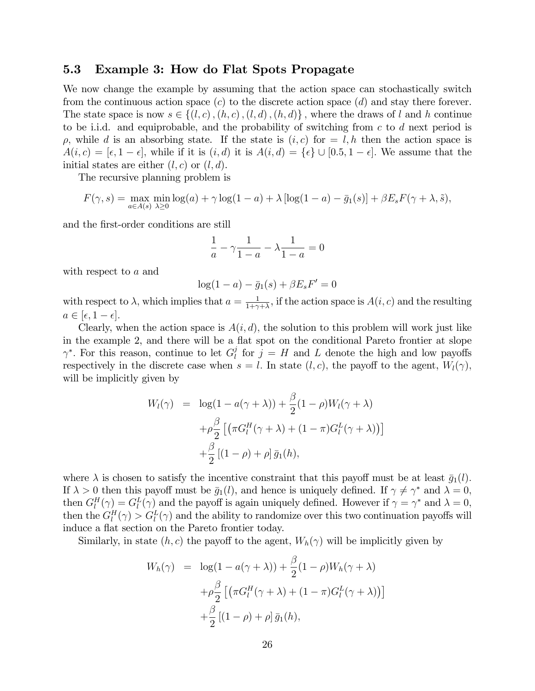### 5.3 Example 3: How do Flat Spots Propagate

We now change the example by assuming that the action space can stochastically switch from the continuous action space  $(c)$  to the discrete action space  $(d)$  and stay there forever. The state space is now  $s \in \{(l, c), (h, c), (l, d), (h, d)\}\,$ , where the draws of l and h continue to be i.i.d. and equiprobable, and the probability of switching from  $c$  to  $d$  next period is  $\rho$ , while d is an absorbing state. If the state is  $(i, c)$  for  $= l, h$  then the action space is  $A(i, c) = [\epsilon, 1 - \epsilon],$  while if it is  $(i, d)$  it is  $A(i, d) = {\epsilon} \cup [0.5, 1 - \epsilon].$  We assume that the initial states are either  $(l, c)$  or  $(l, d)$ .

The recursive planning problem is

$$
F(\gamma, s) = \max_{a \in A(s)} \min_{\lambda \ge 0} \log(a) + \gamma \log(1 - a) + \lambda [\log(1 - a) - \bar{g}_1(s)] + \beta E_s F(\gamma + \lambda, \tilde{s}),
$$

and the first-order conditions are still

$$
\frac{1}{a} - \gamma \frac{1}{1 - a} - \lambda \frac{1}{1 - a} = 0
$$

with respect to a and

$$
\log(1 - a) - \bar{g}_1(s) + \beta E_s F' = 0
$$

with respect to  $\lambda$ , which implies that  $a = \frac{1}{1+\alpha}$  $\frac{1}{1+\gamma+\lambda}$ , if the action space is  $A(i, c)$  and the resulting  $a \in [\epsilon, 1 - \epsilon].$ 

Clearly, when the action space is  $A(i, d)$ , the solution to this problem will work just like in the example 2, and there will be a flat spot on the conditional Pareto frontier at slope  $\gamma^*$ . For this reason, continue to let  $G_l^j$  $\ell_l^j$  for  $j = H$  and L denote the high and low payoffs respectively in the discrete case when  $s = l$ . In state  $(l, c)$ , the payoff to the agent,  $W_l(\gamma)$ , will be implicitly given by

$$
W_l(\gamma) = \log(1 - a(\gamma + \lambda)) + \frac{\beta}{2}(1 - \rho)W_l(\gamma + \lambda)
$$

$$
+ \rho \frac{\beta}{2} [(\pi G_l^H(\gamma + \lambda) + (1 - \pi)G_l^L(\gamma + \lambda))]
$$

$$
+ \frac{\beta}{2} [(1 - \rho) + \rho] \bar{g}_1(h),
$$

where  $\lambda$  is chosen to satisfy the incentive constraint that this payoff must be at least  $\bar{g}_1(l)$ . If  $\lambda > 0$  then this payoff must be  $\bar{g}_1(l)$ , and hence is uniquely defined. If  $\gamma \neq \gamma^*$  and  $\lambda = 0$ , then  $G_l^H(\gamma) = G_l^L(\gamma)$  and the payoff is again uniquely defined. However if  $\gamma = \gamma^*$  and  $\lambda = 0$ , then the  $G_l^H(\gamma) > G_l^L(\gamma)$  and the ability to randomize over this two continuation payoffs will induce a flat section on the Pareto frontier today.

Similarly, in state  $(h, c)$  the payoff to the agent,  $W_h(\gamma)$  will be implicitly given by

$$
W_h(\gamma) = \log(1 - a(\gamma + \lambda)) + \frac{\beta}{2}(1 - \rho)W_h(\gamma + \lambda)
$$

$$
+ \rho \frac{\beta}{2} \left[ \left( \pi G_l^H(\gamma + \lambda) + (1 - \pi)G_l^L(\gamma + \lambda) \right) \right]
$$

$$
+ \frac{\beta}{2} \left[ (1 - \rho) + \rho \right] \bar{g}_1(h),
$$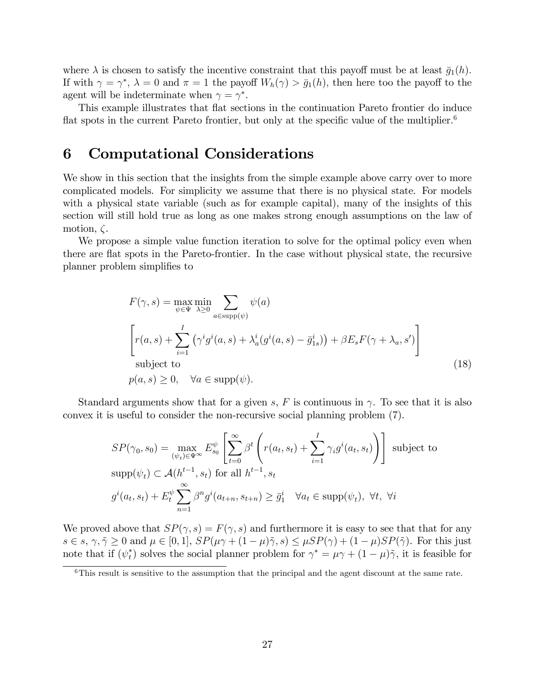where  $\lambda$  is chosen to satisfy the incentive constraint that this payoff must be at least  $\bar{g}_1(h)$ . If with  $\gamma = \gamma^*$ ,  $\lambda = 0$  and  $\pi = 1$  the payoff  $W_h(\gamma) > \bar{g}_1(h)$ , then here too the payoff to the agent will be indeterminate when  $\gamma = \gamma^*$ .

This example illustrates that flat sections in the continuation Pareto frontier do induce flat spots in the current Pareto frontier, but only at the specific value of the multiplier.<sup>6</sup>

### 6 Computational Considerations

We show in this section that the insights from the simple example above carry over to more complicated models. For simplicity we assume that there is no physical state. For models with a physical state variable (such as for example capital), many of the insights of this section will still hold true as long as one makes strong enough assumptions on the law of motion,  $\zeta$ .

We propose a simple value function iteration to solve for the optimal policy even when there are áat spots in the Pareto-frontier. In the case without physical state, the recursive planner problem simplifies to

$$
F(\gamma, s) = \max_{\psi \in \Psi} \min_{\lambda \ge 0} \sum_{a \in \text{supp}(\psi)} \psi(a)
$$
  
\n
$$
\left[ r(a, s) + \sum_{i=1}^{I} (\gamma^i g^i(a, s) + \lambda_a^i (g^i(a, s) - \bar{g}_{1s}^i)) + \beta E_s F(\gamma + \lambda_a, s') \right]
$$
  
\nsubject to  
\n
$$
p(a, s) \ge 0, \quad \forall a \in \text{supp}(\psi).
$$
\n(18)

Standard arguments show that for a given s, F is continuous in  $\gamma$ . To see that it is also convex it is useful to consider the non-recursive social planning problem (7).

$$
SP(\gamma_0, s_0) = \max_{(\psi_t) \in \Psi^{\infty}} E_{s_0}^{\psi} \left[ \sum_{t=0}^{\infty} \beta^t \left( r(a_t, s_t) + \sum_{i=1}^I \gamma_i g^i(a_t, s_t) \right) \right]
$$
subject to  
\n
$$
\text{supp}(\psi_t) \subset \mathcal{A}(h^{t-1}, s_t) \text{ for all } h^{t-1}, s_t
$$
\n
$$
g^i(a_t, s_t) + E_t^{\psi} \sum_{n=1}^{\infty} \beta^n g^i(a_{t+n}, s_{t+n}) \ge \overline{g}_1^i \quad \forall a_t \in \text{supp}(\psi_t), \ \forall t, \ \forall i
$$

We proved above that  $SP(\gamma, s) = F(\gamma, s)$  and furthermore it is easy to see that that for any  $s \in s, \gamma, \tilde{\gamma} \geq 0$  and  $\mu \in [0, 1], SP(\mu\gamma + (1 - \mu)\tilde{\gamma}, s) \leq \mu SP(\gamma) + (1 - \mu)SP(\tilde{\gamma}).$  For this just note that if  $(\psi_t^*)$  solves the social planner problem for  $\gamma^* = \mu \gamma + (1 - \mu) \tilde{\gamma}$ , it is feasible for

<sup>6</sup>This result is sensitive to the assumption that the principal and the agent discount at the same rate.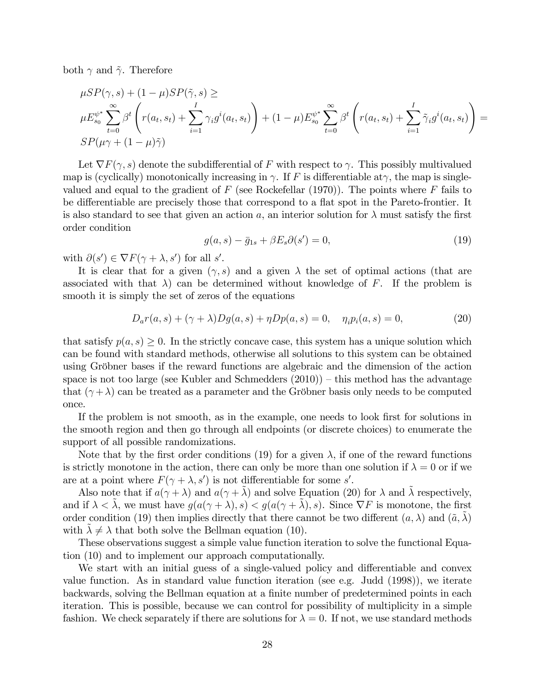both  $\gamma$  and  $\tilde{\gamma}$ . Therefore

$$
\mu SP(\gamma, s) + (1 - \mu) SP(\tilde{\gamma}, s) \ge
$$
\n
$$
\mu E_{s_0}^{\psi^*} \sum_{t=0}^{\infty} \beta^t \left( r(a_t, s_t) + \sum_{i=1}^I \gamma_i g^i(a_t, s_t) \right) + (1 - \mu) E_{s_0}^{\psi^*} \sum_{t=0}^{\infty} \beta^t \left( r(a_t, s_t) + \sum_{i=1}^I \tilde{\gamma}_i g^i(a_t, s_t) \right) =
$$
\n
$$
SP(\mu \gamma + (1 - \mu) \tilde{\gamma})
$$

Let  $\nabla F(\gamma, s)$  denote the subdifferential of F with respect to  $\gamma$ . This possibly multivalued map is (cyclically) monotonically increasing in  $\gamma$ . If F is differentiable at  $\gamma$ , the map is singlevalued and equal to the gradient of  $F$  (see Rockefellar (1970)). The points where  $F$  fails to be differentiable are precisely those that correspond to a flat spot in the Pareto-frontier. It is also standard to see that given an action a, an interior solution for  $\lambda$  must satisfy the first order condition

$$
g(a,s) - \bar{g}_{1s} + \beta E_s \partial(s') = 0,\tag{19}
$$

with  $\partial(s') \in \nabla F(\gamma + \lambda, s')$  for all s'.

It is clear that for a given  $(\gamma, s)$  and a given  $\lambda$  the set of optimal actions (that are associated with that  $\lambda$ ) can be determined without knowledge of F. If the problem is smooth it is simply the set of zeros of the equations

$$
D_a r(a, s) + (\gamma + \lambda) Dg(a, s) + \eta Dp(a, s) = 0, \quad \eta_i p_i(a, s) = 0,
$$
 (20)

that satisfy  $p(a, s) \geq 0$ . In the strictly concave case, this system has a unique solution which can be found with standard methods, otherwise all solutions to this system can be obtained using Gröbner bases if the reward functions are algebraic and the dimension of the action space is not too large (see Kubler and Schmedders  $(2010)$ ) – this method has the advantage that  $(\gamma + \lambda)$  can be treated as a parameter and the Gröbner basis only needs to be computed once.

If the problem is not smooth, as in the example, one needs to look first for solutions in the smooth region and then go through all endpoints (or discrete choices) to enumerate the support of all possible randomizations.

Note that by the first order conditions (19) for a given  $\lambda$ , if one of the reward functions is strictly monotone in the action, there can only be more than one solution if  $\lambda = 0$  or if we are at a point where  $F(\gamma + \lambda, s')$  is not differentiable for some s'.

Also note that if  $a(\gamma + \lambda)$  and  $a(\gamma + \tilde{\lambda})$  and solve Equation (20) for  $\lambda$  and  $\tilde{\lambda}$  respectively, and if  $\lambda < \lambda$ , we must have  $g(a(\gamma + \lambda), s) < g(a(\gamma + \lambda), s)$ . Since  $\nabla F$  is monotone, the first order condition (19) then implies directly that there cannot be two different  $(a, \lambda)$  and  $(\tilde{a}, \lambda)$ with  $\lambda \neq \lambda$  that both solve the Bellman equation (10).

These observations suggest a simple value function iteration to solve the functional Equation (10) and to implement our approach computationally.

We start with an initial guess of a single-valued policy and differentiable and convex value function. As in standard value function iteration (see e.g. Judd (1998)), we iterate backwards, solving the Bellman equation at a finite number of predetermined points in each iteration. This is possible, because we can control for possibility of multiplicity in a simple fashion. We check separately if there are solutions for  $\lambda = 0$ . If not, we use standard methods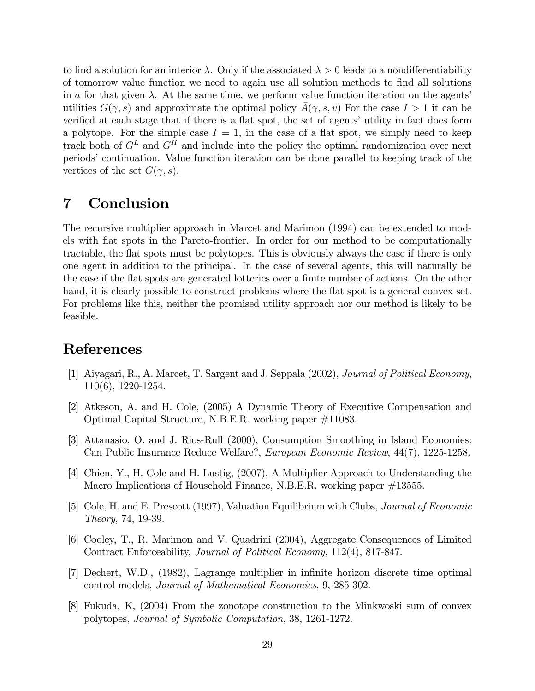to find a solution for an interior  $\lambda$ . Only if the associated  $\lambda > 0$  leads to a nondifferentiability of tomorrow value function we need to again use all solution methods to Önd all solutions in a for that given  $\lambda$ . At the same time, we perform value function iteration on the agents' utilities  $G(\gamma, s)$  and approximate the optimal policy  $A(\gamma, s, v)$  For the case  $I > 1$  it can be verified at each stage that if there is a flat spot, the set of agents' utility in fact does form a polytope. For the simple case  $I = 1$ , in the case of a flat spot, we simply need to keep track both of  $G<sup>L</sup>$  and  $G<sup>H</sup>$  and include into the policy the optimal randomization over next periods' continuation. Value function iteration can be done parallel to keeping track of the vertices of the set  $G(\gamma, s)$ .

### 7 Conclusion

The recursive multiplier approach in Marcet and Marimon (1994) can be extended to models with áat spots in the Pareto-frontier. In order for our method to be computationally tractable, the flat spots must be polytopes. This is obviously always the case if there is only one agent in addition to the principal. In the case of several agents, this will naturally be the case if the flat spots are generated lotteries over a finite number of actions. On the other hand, it is clearly possible to construct problems where the flat spot is a general convex set. For problems like this, neither the promised utility approach nor our method is likely to be feasible.

### References

- [1] Aiyagari, R., A. Marcet, T. Sargent and J. Seppala (2002), Journal of Political Economy, 110(6), 1220-1254.
- [2] Atkeson, A. and H. Cole, (2005) A Dynamic Theory of Executive Compensation and Optimal Capital Structure, N.B.E.R. working paper #11083.
- [3] Attanasio, O. and J. Rios-Rull (2000), Consumption Smoothing in Island Economies: Can Public Insurance Reduce Welfare?, European Economic Review, 44(7), 1225-1258.
- [4] Chien, Y., H. Cole and H. Lustig, (2007), A Multiplier Approach to Understanding the Macro Implications of Household Finance, N.B.E.R. working paper #13555.
- [5] Cole, H. and E. Prescott (1997), Valuation Equilibrium with Clubs, Journal of Economic Theory, 74, 19-39.
- [6] Cooley, T., R. Marimon and V. Quadrini (2004), Aggregate Consequences of Limited Contract Enforceability, Journal of Political Economy, 112(4), 817-847.
- [7] Dechert, W.D., (1982), Lagrange multiplier in infinite horizon discrete time optimal control models, Journal of Mathematical Economics, 9, 285-302.
- [8] Fukuda, K, (2004) From the zonotope construction to the Minkwoski sum of convex polytopes, Journal of Symbolic Computation, 38, 1261-1272.